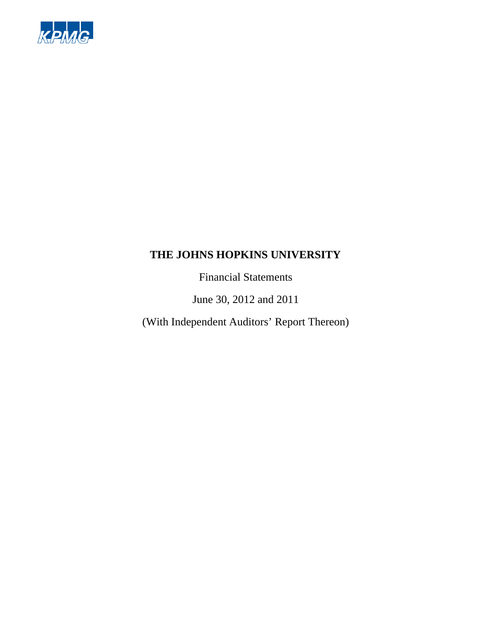

Financial Statements

June 30, 2012 and 2011

(With Independent Auditors' Report Thereon)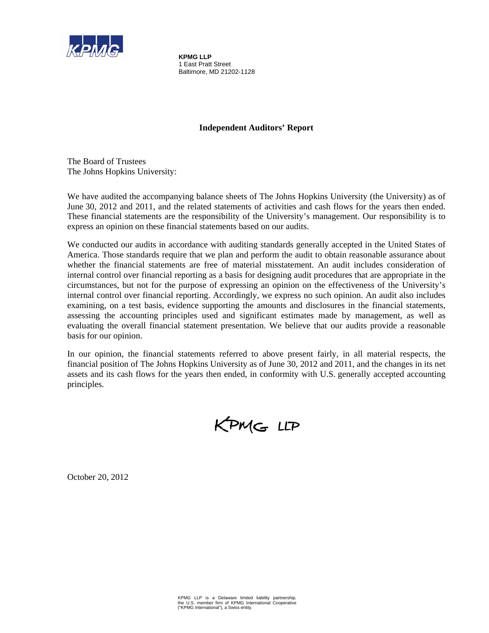

**KPMG LLP**  1 East Pratt Street Baltimore, MD 21202-1128

# **Independent Auditors' Report**

The Board of Trustees The Johns Hopkins University:

We have audited the accompanying balance sheets of The Johns Hopkins University (the University) as of June 30, 2012 and 2011, and the related statements of activities and cash flows for the years then ended. These financial statements are the responsibility of the University's management. Our responsibility is to express an opinion on these financial statements based on our audits.

We conducted our audits in accordance with auditing standards generally accepted in the United States of America. Those standards require that we plan and perform the audit to obtain reasonable assurance about whether the financial statements are free of material misstatement. An audit includes consideration of internal control over financial reporting as a basis for designing audit procedures that are appropriate in the circumstances, but not for the purpose of expressing an opinion on the effectiveness of the University's internal control over financial reporting. Accordingly, we express no such opinion. An audit also includes examining, on a test basis, evidence supporting the amounts and disclosures in the financial statements, assessing the accounting principles used and significant estimates made by management, as well as evaluating the overall financial statement presentation. We believe that our audits provide a reasonable basis for our opinion.

In our opinion, the financial statements referred to above present fairly, in all material respects, the financial position of The Johns Hopkins University as of June 30, 2012 and 2011, and the changes in its net assets and its cash flows for the years then ended, in conformity with U.S. generally accepted accounting principles.

KPMG LLP

October 20, 2012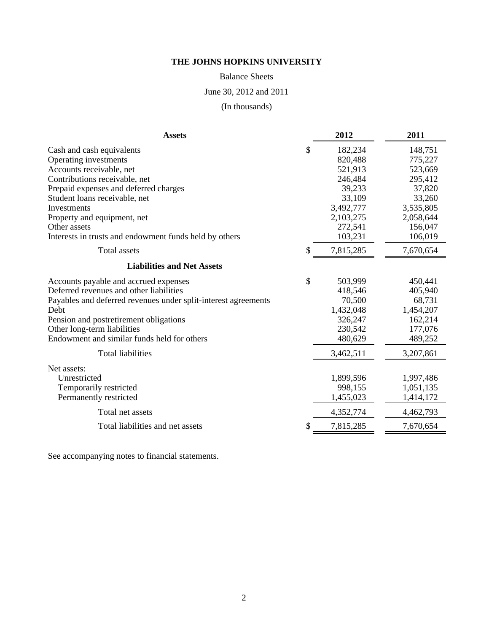Balance Sheets

June 30, 2012 and 2011

(In thousands)

| <b>Assets</b>                                                  | 2012            | 2011      |
|----------------------------------------------------------------|-----------------|-----------|
| Cash and cash equivalents                                      | \$<br>182,234   | 148,751   |
| Operating investments                                          | 820,488         | 775,227   |
| Accounts receivable, net                                       | 521,913         | 523,669   |
| Contributions receivable, net                                  | 246,484         | 295,412   |
| Prepaid expenses and deferred charges                          | 39,233          | 37,820    |
| Student loans receivable, net                                  | 33,109          | 33,260    |
| Investments                                                    | 3,492,777       | 3,535,805 |
| Property and equipment, net                                    | 2,103,275       | 2,058,644 |
| Other assets                                                   | 272,541         | 156,047   |
| Interests in trusts and endowment funds held by others         | 103,231         | 106,019   |
| <b>Total assets</b>                                            | \$<br>7,815,285 | 7,670,654 |
| <b>Liabilities and Net Assets</b>                              |                 |           |
| Accounts payable and accrued expenses                          | \$<br>503,999   | 450,441   |
| Deferred revenues and other liabilities                        | 418,546         | 405,940   |
| Payables and deferred revenues under split-interest agreements | 70,500          | 68,731    |
| Debt                                                           | 1,432,048       | 1,454,207 |
| Pension and postretirement obligations                         | 326,247         | 162,214   |
| Other long-term liabilities                                    | 230,542         | 177,076   |
| Endowment and similar funds held for others                    | 480,629         | 489,252   |
| <b>Total liabilities</b>                                       | 3,462,511       | 3,207,861 |
| Net assets:                                                    |                 |           |
| Unrestricted                                                   | 1,899,596       | 1,997,486 |
| Temporarily restricted                                         | 998,155         | 1,051,135 |
| Permanently restricted                                         | 1,455,023       | 1,414,172 |
| Total net assets                                               | 4,352,774       | 4,462,793 |
| Total liabilities and net assets                               | \$<br>7,815,285 | 7,670,654 |

See accompanying notes to financial statements.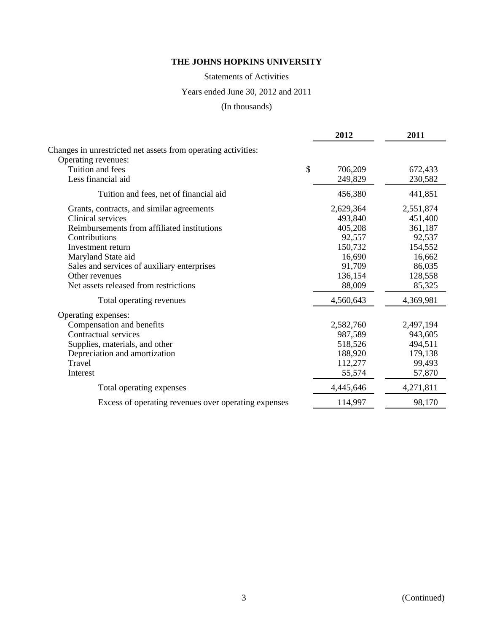Statements of Activities

Years ended June 30, 2012 and 2011

(In thousands)

|                                                               | 2012          | 2011      |
|---------------------------------------------------------------|---------------|-----------|
| Changes in unrestricted net assets from operating activities: |               |           |
| Operating revenues:                                           |               |           |
| Tuition and fees                                              | \$<br>706,209 | 672,433   |
| Less financial aid                                            | 249,829       | 230,582   |
| Tuition and fees, net of financial aid                        | 456,380       | 441,851   |
| Grants, contracts, and similar agreements                     | 2,629,364     | 2,551,874 |
| Clinical services                                             | 493,840       | 451,400   |
| Reimbursements from affiliated institutions                   | 405,208       | 361,187   |
| Contributions                                                 | 92,557        | 92,537    |
| Investment return                                             | 150,732       | 154,552   |
| Maryland State aid                                            | 16,690        | 16,662    |
| Sales and services of auxiliary enterprises                   | 91,709        | 86,035    |
| Other revenues                                                | 136,154       | 128,558   |
| Net assets released from restrictions                         | 88,009        | 85,325    |
| Total operating revenues                                      | 4,560,643     | 4,369,981 |
| Operating expenses:                                           |               |           |
| Compensation and benefits                                     | 2,582,760     | 2,497,194 |
| Contractual services                                          | 987,589       | 943,605   |
| Supplies, materials, and other                                | 518,526       | 494,511   |
| Depreciation and amortization                                 | 188,920       | 179,138   |
| Travel                                                        | 112,277       | 99,493    |
| Interest                                                      | 55,574        | 57,870    |
| Total operating expenses                                      | 4,445,646     | 4,271,811 |
| Excess of operating revenues over operating expenses          | 114,997       | 98,170    |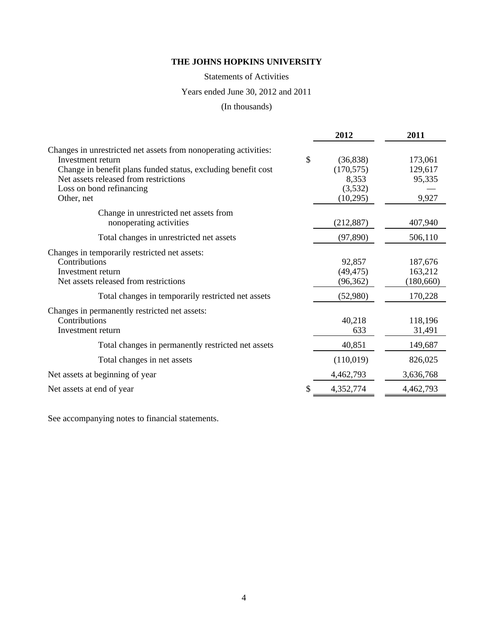Statements of Activities

# Years ended June 30, 2012 and 2011

# (In thousands)

|                                                                  | 2012            | 2011       |
|------------------------------------------------------------------|-----------------|------------|
| Changes in unrestricted net assets from nonoperating activities: |                 |            |
| Investment return                                                | \$<br>(36, 838) | 173,061    |
| Change in benefit plans funded status, excluding benefit cost    | (170, 575)      | 129,617    |
| Net assets released from restrictions                            | 8,353           | 95,335     |
| Loss on bond refinancing                                         | (3,532)         |            |
| Other, net                                                       | (10,295)        | 9,927      |
| Change in unrestricted net assets from                           |                 |            |
| nonoperating activities                                          | (212, 887)      | 407,940    |
| Total changes in unrestricted net assets                         | (97, 890)       | 506,110    |
| Changes in temporarily restricted net assets:                    |                 |            |
| Contributions                                                    | 92,857          | 187,676    |
| Investment return                                                | (49, 475)       | 163,212    |
| Net assets released from restrictions                            | (96, 362)       | (180, 660) |
| Total changes in temporarily restricted net assets               | (52,980)        | 170,228    |
| Changes in permanently restricted net assets:                    |                 |            |
| Contributions                                                    | 40,218          | 118,196    |
| Investment return                                                | 633             | 31,491     |
| Total changes in permanently restricted net assets               | 40,851          | 149,687    |
| Total changes in net assets                                      | (110,019)       | 826,025    |
| Net assets at beginning of year                                  | 4,462,793       | 3,636,768  |
| Net assets at end of year                                        | 4,352,774       | 4,462,793  |

See accompanying notes to financial statements.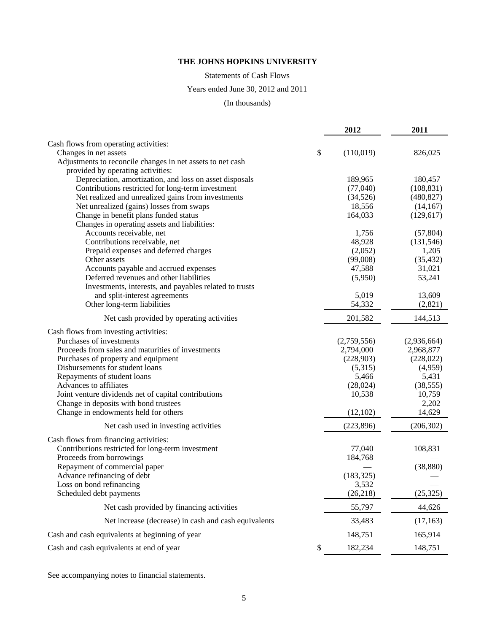# Statements of Cash Flows

# Years ended June 30, 2012 and 2011

### (In thousands)

|                                                                                                 | 2012              | 2011            |
|-------------------------------------------------------------------------------------------------|-------------------|-----------------|
| Cash flows from operating activities:                                                           |                   |                 |
| \$<br>Changes in net assets                                                                     | (110,019)         | 826,025         |
| Adjustments to reconcile changes in net assets to net cash<br>provided by operating activities: |                   |                 |
| Depreciation, amortization, and loss on asset disposals                                         | 189,965           | 180,457         |
| Contributions restricted for long-term investment                                               | (77,040)          | (108, 831)      |
| Net realized and unrealized gains from investments                                              | (34, 526)         | (480, 827)      |
| Net unrealized (gains) losses from swaps                                                        | 18,556            | (14, 167)       |
| Change in benefit plans funded status<br>Changes in operating assets and liabilities:           | 164,033           | (129, 617)      |
| Accounts receivable, net                                                                        | 1,756             | (57, 804)       |
| Contributions receivable, net                                                                   | 48,928            | (131, 546)      |
| Prepaid expenses and deferred charges                                                           | (2,052)           | 1,205           |
| Other assets                                                                                    | (99,008)          | (35, 432)       |
| Accounts payable and accrued expenses                                                           | 47,588            | 31,021          |
| Deferred revenues and other liabilities                                                         | (5,950)           | 53,241          |
| Investments, interests, and payables related to trusts                                          |                   |                 |
| and split-interest agreements                                                                   | 5,019             | 13,609          |
| Other long-term liabilities                                                                     | 54,332            | (2,821)         |
| Net cash provided by operating activities                                                       | 201,582           | 144,513         |
| Cash flows from investing activities:                                                           |                   |                 |
| Purchases of investments                                                                        | (2,759,556)       | (2,936,664)     |
| Proceeds from sales and maturities of investments                                               | 2,794,000         | 2,968,877       |
| Purchases of property and equipment                                                             | (228,903)         | (228, 022)      |
| Disbursements for student loans                                                                 | (5,315)           | (4,959)         |
| Repayments of student loans                                                                     | 5,466             | 5,431           |
| Advances to affiliates                                                                          | (28,024)          | (38, 555)       |
| Joint venture dividends net of capital contributions<br>Change in deposits with bond trustees   | 10,538            | 10,759<br>2,202 |
| Change in endowments held for others                                                            | (12, 102)         | 14,629          |
| Net cash used in investing activities                                                           | (223, 896)        | (206, 302)      |
|                                                                                                 |                   |                 |
| Cash flows from financing activities:                                                           |                   |                 |
| Contributions restricted for long-term investment<br>Proceeds from borrowings                   | 77,040<br>184,768 | 108,831         |
| Repayment of commercial paper                                                                   |                   | (38, 880)       |
| Advance refinancing of debt                                                                     | (183, 325)        |                 |
| Loss on bond refinancing                                                                        | 3,532             |                 |
| Scheduled debt payments                                                                         | (26, 218)         | (25, 325)       |
| Net cash provided by financing activities                                                       | 55,797            | 44,626          |
| Net increase (decrease) in cash and cash equivalents                                            | 33,483            | (17, 163)       |
| Cash and cash equivalents at beginning of year                                                  | 148,751           | 165,914         |
| Cash and cash equivalents at end of year                                                        | 182,234           | 148,751         |

See accompanying notes to financial statements.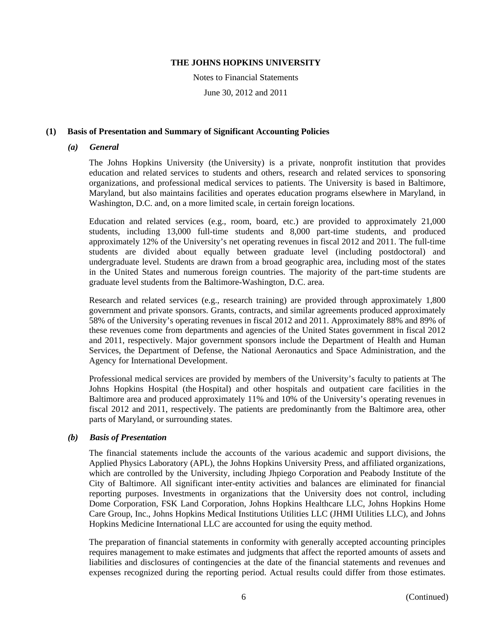Notes to Financial Statements

June 30, 2012 and 2011

### **(1) Basis of Presentation and Summary of Significant Accounting Policies**

#### *(a) General*

The Johns Hopkins University (the University) is a private, nonprofit institution that provides education and related services to students and others, research and related services to sponsoring organizations, and professional medical services to patients. The University is based in Baltimore, Maryland, but also maintains facilities and operates education programs elsewhere in Maryland, in Washington, D.C. and, on a more limited scale, in certain foreign locations.

Education and related services (e.g., room, board, etc.) are provided to approximately 21,000 students, including 13,000 full-time students and 8,000 part-time students, and produced approximately 12% of the University's net operating revenues in fiscal 2012 and 2011. The full-time students are divided about equally between graduate level (including postdoctoral) and undergraduate level. Students are drawn from a broad geographic area, including most of the states in the United States and numerous foreign countries. The majority of the part-time students are graduate level students from the Baltimore-Washington, D.C. area.

Research and related services (e.g., research training) are provided through approximately 1,800 government and private sponsors. Grants, contracts, and similar agreements produced approximately 58% of the University's operating revenues in fiscal 2012 and 2011. Approximately 88% and 89% of these revenues come from departments and agencies of the United States government in fiscal 2012 and 2011, respectively. Major government sponsors include the Department of Health and Human Services, the Department of Defense, the National Aeronautics and Space Administration, and the Agency for International Development.

Professional medical services are provided by members of the University's faculty to patients at The Johns Hopkins Hospital (the Hospital) and other hospitals and outpatient care facilities in the Baltimore area and produced approximately 11% and 10% of the University's operating revenues in fiscal 2012 and 2011, respectively. The patients are predominantly from the Baltimore area, other parts of Maryland, or surrounding states.

# *(b) Basis of Presentation*

The financial statements include the accounts of the various academic and support divisions, the Applied Physics Laboratory (APL), the Johns Hopkins University Press, and affiliated organizations, which are controlled by the University, including Jhpiego Corporation and Peabody Institute of the City of Baltimore. All significant inter-entity activities and balances are eliminated for financial reporting purposes. Investments in organizations that the University does not control, including Dome Corporation, FSK Land Corporation, Johns Hopkins Healthcare LLC, Johns Hopkins Home Care Group, Inc., Johns Hopkins Medical Institutions Utilities LLC (JHMI Utilities LLC), and Johns Hopkins Medicine International LLC are accounted for using the equity method.

The preparation of financial statements in conformity with generally accepted accounting principles requires management to make estimates and judgments that affect the reported amounts of assets and liabilities and disclosures of contingencies at the date of the financial statements and revenues and expenses recognized during the reporting period. Actual results could differ from those estimates.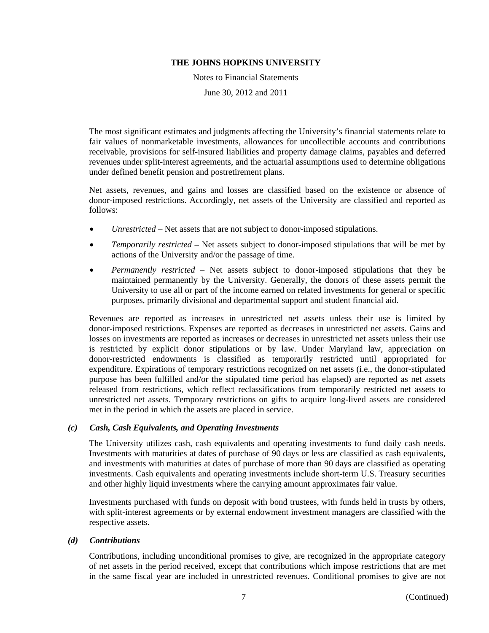Notes to Financial Statements

June 30, 2012 and 2011

The most significant estimates and judgments affecting the University's financial statements relate to fair values of nonmarketable investments, allowances for uncollectible accounts and contributions receivable, provisions for self-insured liabilities and property damage claims, payables and deferred revenues under split-interest agreements, and the actuarial assumptions used to determine obligations under defined benefit pension and postretirement plans.

Net assets, revenues, and gains and losses are classified based on the existence or absence of donor-imposed restrictions. Accordingly, net assets of the University are classified and reported as follows:

- *Unrestricted* Net assets that are not subject to donor-imposed stipulations.
- *Temporarily restricted* Net assets subject to donor-imposed stipulations that will be met by actions of the University and/or the passage of time.
- *Permanently restricted* Net assets subject to donor-imposed stipulations that they be maintained permanently by the University. Generally, the donors of these assets permit the University to use all or part of the income earned on related investments for general or specific purposes, primarily divisional and departmental support and student financial aid.

Revenues are reported as increases in unrestricted net assets unless their use is limited by donor-imposed restrictions. Expenses are reported as decreases in unrestricted net assets. Gains and losses on investments are reported as increases or decreases in unrestricted net assets unless their use is restricted by explicit donor stipulations or by law. Under Maryland law, appreciation on donor-restricted endowments is classified as temporarily restricted until appropriated for expenditure. Expirations of temporary restrictions recognized on net assets (i.e., the donor-stipulated purpose has been fulfilled and/or the stipulated time period has elapsed) are reported as net assets released from restrictions, which reflect reclassifications from temporarily restricted net assets to unrestricted net assets. Temporary restrictions on gifts to acquire long-lived assets are considered met in the period in which the assets are placed in service.

#### *(c) Cash, Cash Equivalents, and Operating Investments*

The University utilizes cash, cash equivalents and operating investments to fund daily cash needs. Investments with maturities at dates of purchase of 90 days or less are classified as cash equivalents, and investments with maturities at dates of purchase of more than 90 days are classified as operating investments. Cash equivalents and operating investments include short-term U.S. Treasury securities and other highly liquid investments where the carrying amount approximates fair value.

Investments purchased with funds on deposit with bond trustees, with funds held in trusts by others, with split-interest agreements or by external endowment investment managers are classified with the respective assets.

#### *(d) Contributions*

Contributions, including unconditional promises to give, are recognized in the appropriate category of net assets in the period received, except that contributions which impose restrictions that are met in the same fiscal year are included in unrestricted revenues. Conditional promises to give are not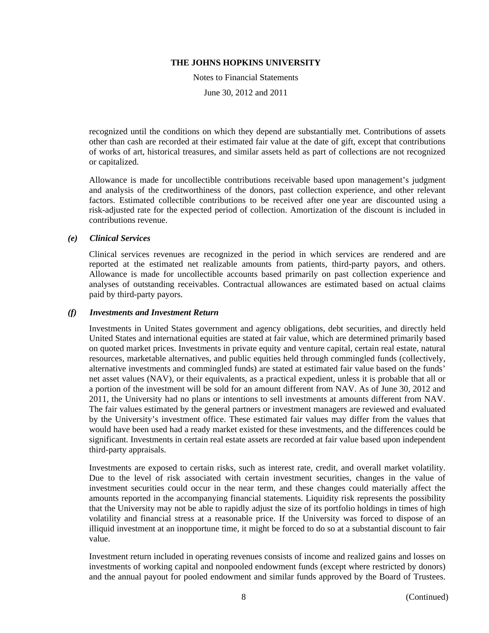Notes to Financial Statements

June 30, 2012 and 2011

recognized until the conditions on which they depend are substantially met. Contributions of assets other than cash are recorded at their estimated fair value at the date of gift, except that contributions of works of art, historical treasures, and similar assets held as part of collections are not recognized or capitalized.

Allowance is made for uncollectible contributions receivable based upon management's judgment and analysis of the creditworthiness of the donors, past collection experience, and other relevant factors. Estimated collectible contributions to be received after one year are discounted using a risk-adjusted rate for the expected period of collection. Amortization of the discount is included in contributions revenue.

#### *(e) Clinical Services*

Clinical services revenues are recognized in the period in which services are rendered and are reported at the estimated net realizable amounts from patients, third-party payors, and others. Allowance is made for uncollectible accounts based primarily on past collection experience and analyses of outstanding receivables. Contractual allowances are estimated based on actual claims paid by third-party payors.

#### *(f) Investments and Investment Return*

Investments in United States government and agency obligations, debt securities, and directly held United States and international equities are stated at fair value, which are determined primarily based on quoted market prices. Investments in private equity and venture capital, certain real estate, natural resources, marketable alternatives, and public equities held through commingled funds (collectively, alternative investments and commingled funds) are stated at estimated fair value based on the funds' net asset values (NAV), or their equivalents, as a practical expedient, unless it is probable that all or a portion of the investment will be sold for an amount different from NAV. As of June 30, 2012 and 2011, the University had no plans or intentions to sell investments at amounts different from NAV. The fair values estimated by the general partners or investment managers are reviewed and evaluated by the University's investment office. These estimated fair values may differ from the values that would have been used had a ready market existed for these investments, and the differences could be significant. Investments in certain real estate assets are recorded at fair value based upon independent third-party appraisals.

Investments are exposed to certain risks, such as interest rate, credit, and overall market volatility. Due to the level of risk associated with certain investment securities, changes in the value of investment securities could occur in the near term, and these changes could materially affect the amounts reported in the accompanying financial statements. Liquidity risk represents the possibility that the University may not be able to rapidly adjust the size of its portfolio holdings in times of high volatility and financial stress at a reasonable price. If the University was forced to dispose of an illiquid investment at an inopportune time, it might be forced to do so at a substantial discount to fair value.

Investment return included in operating revenues consists of income and realized gains and losses on investments of working capital and nonpooled endowment funds (except where restricted by donors) and the annual payout for pooled endowment and similar funds approved by the Board of Trustees.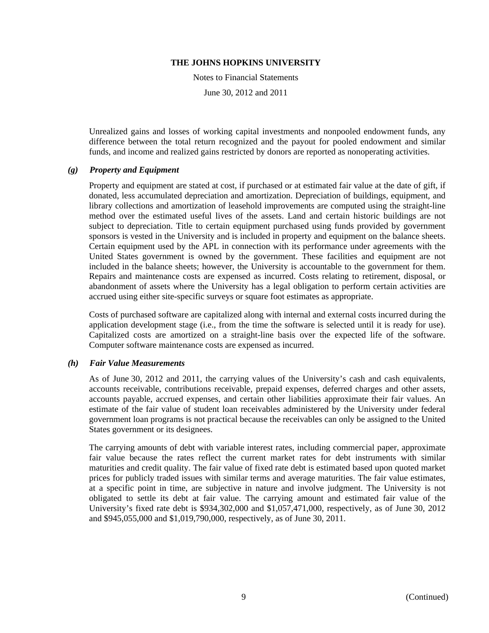Notes to Financial Statements

June 30, 2012 and 2011

Unrealized gains and losses of working capital investments and nonpooled endowment funds, any difference between the total return recognized and the payout for pooled endowment and similar funds, and income and realized gains restricted by donors are reported as nonoperating activities.

#### *(g) Property and Equipment*

Property and equipment are stated at cost, if purchased or at estimated fair value at the date of gift, if donated, less accumulated depreciation and amortization. Depreciation of buildings, equipment, and library collections and amortization of leasehold improvements are computed using the straight-line method over the estimated useful lives of the assets. Land and certain historic buildings are not subject to depreciation. Title to certain equipment purchased using funds provided by government sponsors is vested in the University and is included in property and equipment on the balance sheets. Certain equipment used by the APL in connection with its performance under agreements with the United States government is owned by the government. These facilities and equipment are not included in the balance sheets; however, the University is accountable to the government for them. Repairs and maintenance costs are expensed as incurred. Costs relating to retirement, disposal, or abandonment of assets where the University has a legal obligation to perform certain activities are accrued using either site-specific surveys or square foot estimates as appropriate.

Costs of purchased software are capitalized along with internal and external costs incurred during the application development stage (i.e., from the time the software is selected until it is ready for use). Capitalized costs are amortized on a straight-line basis over the expected life of the software. Computer software maintenance costs are expensed as incurred.

#### *(h) Fair Value Measurements*

As of June 30, 2012 and 2011, the carrying values of the University's cash and cash equivalents, accounts receivable, contributions receivable, prepaid expenses, deferred charges and other assets, accounts payable, accrued expenses, and certain other liabilities approximate their fair values. An estimate of the fair value of student loan receivables administered by the University under federal government loan programs is not practical because the receivables can only be assigned to the United States government or its designees.

The carrying amounts of debt with variable interest rates, including commercial paper, approximate fair value because the rates reflect the current market rates for debt instruments with similar maturities and credit quality. The fair value of fixed rate debt is estimated based upon quoted market prices for publicly traded issues with similar terms and average maturities. The fair value estimates, at a specific point in time, are subjective in nature and involve judgment. The University is not obligated to settle its debt at fair value. The carrying amount and estimated fair value of the University's fixed rate debt is \$934,302,000 and \$1,057,471,000, respectively, as of June 30, 2012 and \$945,055,000 and \$1,019,790,000, respectively, as of June 30, 2011.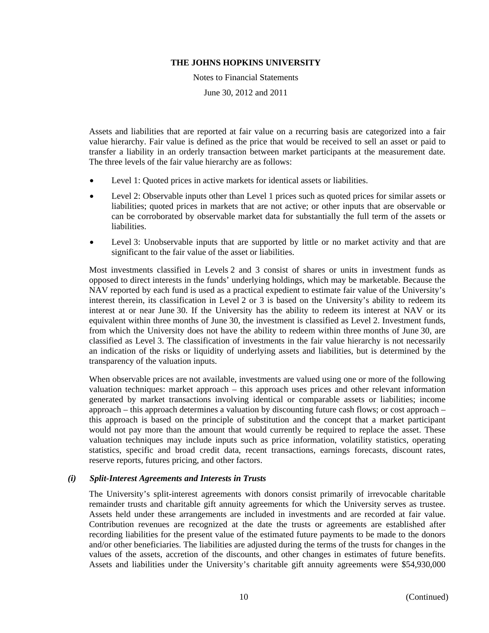Notes to Financial Statements

June 30, 2012 and 2011

Assets and liabilities that are reported at fair value on a recurring basis are categorized into a fair value hierarchy. Fair value is defined as the price that would be received to sell an asset or paid to transfer a liability in an orderly transaction between market participants at the measurement date. The three levels of the fair value hierarchy are as follows:

- Level 1: Quoted prices in active markets for identical assets or liabilities.
- Level 2: Observable inputs other than Level 1 prices such as quoted prices for similar assets or liabilities; quoted prices in markets that are not active; or other inputs that are observable or can be corroborated by observable market data for substantially the full term of the assets or liabilities.
- Level 3: Unobservable inputs that are supported by little or no market activity and that are significant to the fair value of the asset or liabilities.

Most investments classified in Levels 2 and 3 consist of shares or units in investment funds as opposed to direct interests in the funds' underlying holdings, which may be marketable. Because the NAV reported by each fund is used as a practical expedient to estimate fair value of the University's interest therein, its classification in Level 2 or 3 is based on the University's ability to redeem its interest at or near June 30. If the University has the ability to redeem its interest at NAV or its equivalent within three months of June 30, the investment is classified as Level 2. Investment funds, from which the University does not have the ability to redeem within three months of June 30, are classified as Level 3. The classification of investments in the fair value hierarchy is not necessarily an indication of the risks or liquidity of underlying assets and liabilities, but is determined by the transparency of the valuation inputs.

When observable prices are not available, investments are valued using one or more of the following valuation techniques: market approach – this approach uses prices and other relevant information generated by market transactions involving identical or comparable assets or liabilities; income approach – this approach determines a valuation by discounting future cash flows; or cost approach – this approach is based on the principle of substitution and the concept that a market participant would not pay more than the amount that would currently be required to replace the asset. These valuation techniques may include inputs such as price information, volatility statistics, operating statistics, specific and broad credit data, recent transactions, earnings forecasts, discount rates, reserve reports, futures pricing, and other factors.

#### *(i) Split-Interest Agreements and Interests in Trusts*

The University's split-interest agreements with donors consist primarily of irrevocable charitable remainder trusts and charitable gift annuity agreements for which the University serves as trustee. Assets held under these arrangements are included in investments and are recorded at fair value. Contribution revenues are recognized at the date the trusts or agreements are established after recording liabilities for the present value of the estimated future payments to be made to the donors and/or other beneficiaries. The liabilities are adjusted during the terms of the trusts for changes in the values of the assets, accretion of the discounts, and other changes in estimates of future benefits. Assets and liabilities under the University's charitable gift annuity agreements were \$54,930,000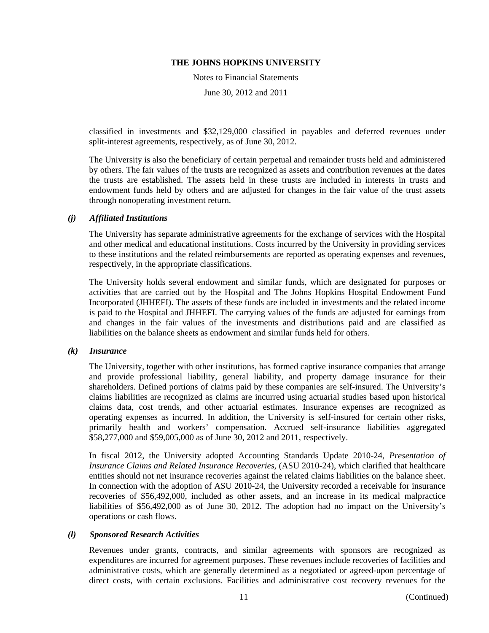Notes to Financial Statements

June 30, 2012 and 2011

classified in investments and \$32,129,000 classified in payables and deferred revenues under split-interest agreements, respectively, as of June 30, 2012.

The University is also the beneficiary of certain perpetual and remainder trusts held and administered by others. The fair values of the trusts are recognized as assets and contribution revenues at the dates the trusts are established. The assets held in these trusts are included in interests in trusts and endowment funds held by others and are adjusted for changes in the fair value of the trust assets through nonoperating investment return.

### *(j) Affiliated Institutions*

The University has separate administrative agreements for the exchange of services with the Hospital and other medical and educational institutions. Costs incurred by the University in providing services to these institutions and the related reimbursements are reported as operating expenses and revenues, respectively, in the appropriate classifications.

The University holds several endowment and similar funds, which are designated for purposes or activities that are carried out by the Hospital and The Johns Hopkins Hospital Endowment Fund Incorporated (JHHEFI). The assets of these funds are included in investments and the related income is paid to the Hospital and JHHEFI. The carrying values of the funds are adjusted for earnings from and changes in the fair values of the investments and distributions paid and are classified as liabilities on the balance sheets as endowment and similar funds held for others.

#### *(k) Insurance*

The University, together with other institutions, has formed captive insurance companies that arrange and provide professional liability, general liability, and property damage insurance for their shareholders. Defined portions of claims paid by these companies are self-insured. The University's claims liabilities are recognized as claims are incurred using actuarial studies based upon historical claims data, cost trends, and other actuarial estimates. Insurance expenses are recognized as operating expenses as incurred. In addition, the University is self-insured for certain other risks, primarily health and workers' compensation. Accrued self-insurance liabilities aggregated \$58,277,000 and \$59,005,000 as of June 30, 2012 and 2011, respectively.

In fiscal 2012, the University adopted Accounting Standards Update 2010-24, *Presentation of Insurance Claims and Related Insurance Recoveries,* (ASU 2010-24), which clarified that healthcare entities should not net insurance recoveries against the related claims liabilities on the balance sheet. In connection with the adoption of ASU 2010-24, the University recorded a receivable for insurance recoveries of \$56,492,000, included as other assets, and an increase in its medical malpractice liabilities of \$56,492,000 as of June 30, 2012. The adoption had no impact on the University's operations or cash flows.

# *(l) Sponsored Research Activities*

Revenues under grants, contracts, and similar agreements with sponsors are recognized as expenditures are incurred for agreement purposes. These revenues include recoveries of facilities and administrative costs, which are generally determined as a negotiated or agreed-upon percentage of direct costs, with certain exclusions. Facilities and administrative cost recovery revenues for the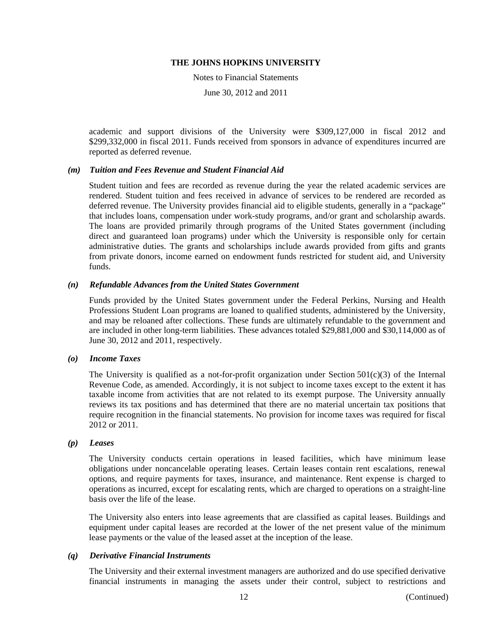Notes to Financial Statements

June 30, 2012 and 2011

academic and support divisions of the University were \$309,127,000 in fiscal 2012 and \$299,332,000 in fiscal 2011. Funds received from sponsors in advance of expenditures incurred are reported as deferred revenue.

#### *(m) Tuition and Fees Revenue and Student Financial Aid*

Student tuition and fees are recorded as revenue during the year the related academic services are rendered. Student tuition and fees received in advance of services to be rendered are recorded as deferred revenue. The University provides financial aid to eligible students, generally in a "package" that includes loans, compensation under work-study programs, and/or grant and scholarship awards. The loans are provided primarily through programs of the United States government (including direct and guaranteed loan programs) under which the University is responsible only for certain administrative duties. The grants and scholarships include awards provided from gifts and grants from private donors, income earned on endowment funds restricted for student aid, and University funds.

#### *(n) Refundable Advances from the United States Government*

Funds provided by the United States government under the Federal Perkins, Nursing and Health Professions Student Loan programs are loaned to qualified students, administered by the University, and may be reloaned after collections. These funds are ultimately refundable to the government and are included in other long-term liabilities. These advances totaled \$29,881,000 and \$30,114,000 as of June 30, 2012 and 2011, respectively.

#### *(o) Income Taxes*

The University is qualified as a not-for-profit organization under Section  $501(c)(3)$  of the Internal Revenue Code, as amended. Accordingly, it is not subject to income taxes except to the extent it has taxable income from activities that are not related to its exempt purpose. The University annually reviews its tax positions and has determined that there are no material uncertain tax positions that require recognition in the financial statements. No provision for income taxes was required for fiscal 2012 or 2011.

#### *(p) Leases*

The University conducts certain operations in leased facilities, which have minimum lease obligations under noncancelable operating leases. Certain leases contain rent escalations, renewal options, and require payments for taxes, insurance, and maintenance. Rent expense is charged to operations as incurred, except for escalating rents, which are charged to operations on a straight-line basis over the life of the lease.

The University also enters into lease agreements that are classified as capital leases. Buildings and equipment under capital leases are recorded at the lower of the net present value of the minimum lease payments or the value of the leased asset at the inception of the lease.

#### *(q) Derivative Financial Instruments*

The University and their external investment managers are authorized and do use specified derivative financial instruments in managing the assets under their control, subject to restrictions and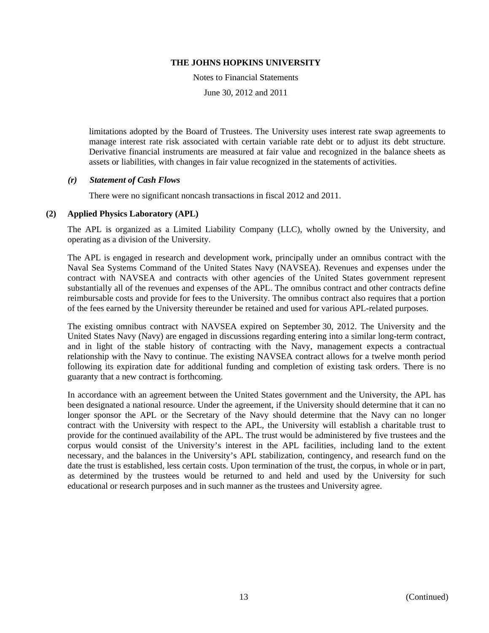Notes to Financial Statements

June 30, 2012 and 2011

limitations adopted by the Board of Trustees. The University uses interest rate swap agreements to manage interest rate risk associated with certain variable rate debt or to adjust its debt structure. Derivative financial instruments are measured at fair value and recognized in the balance sheets as assets or liabilities, with changes in fair value recognized in the statements of activities.

### *(r) Statement of Cash Flows*

There were no significant noncash transactions in fiscal 2012 and 2011.

### **(2) Applied Physics Laboratory (APL)**

The APL is organized as a Limited Liability Company (LLC), wholly owned by the University, and operating as a division of the University.

The APL is engaged in research and development work, principally under an omnibus contract with the Naval Sea Systems Command of the United States Navy (NAVSEA). Revenues and expenses under the contract with NAVSEA and contracts with other agencies of the United States government represent substantially all of the revenues and expenses of the APL. The omnibus contract and other contracts define reimbursable costs and provide for fees to the University. The omnibus contract also requires that a portion of the fees earned by the University thereunder be retained and used for various APL-related purposes.

The existing omnibus contract with NAVSEA expired on September 30, 2012. The University and the United States Navy (Navy) are engaged in discussions regarding entering into a similar long-term contract, and in light of the stable history of contracting with the Navy, management expects a contractual relationship with the Navy to continue. The existing NAVSEA contract allows for a twelve month period following its expiration date for additional funding and completion of existing task orders. There is no guaranty that a new contract is forthcoming.

In accordance with an agreement between the United States government and the University, the APL has been designated a national resource. Under the agreement, if the University should determine that it can no longer sponsor the APL or the Secretary of the Navy should determine that the Navy can no longer contract with the University with respect to the APL, the University will establish a charitable trust to provide for the continued availability of the APL. The trust would be administered by five trustees and the corpus would consist of the University's interest in the APL facilities, including land to the extent necessary, and the balances in the University's APL stabilization, contingency, and research fund on the date the trust is established, less certain costs. Upon termination of the trust, the corpus, in whole or in part, as determined by the trustees would be returned to and held and used by the University for such educational or research purposes and in such manner as the trustees and University agree.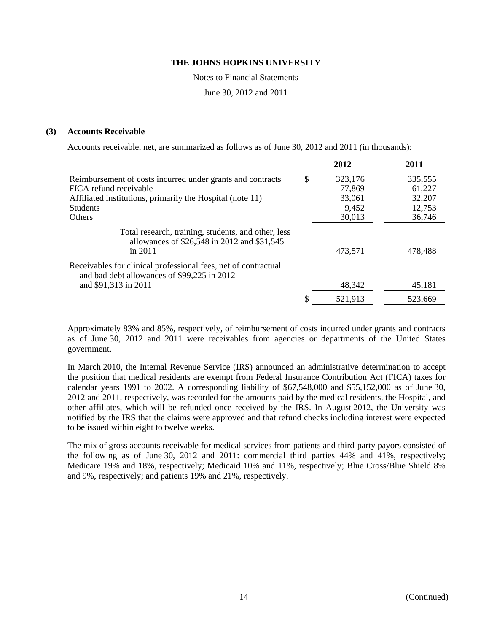Notes to Financial Statements

June 30, 2012 and 2011

#### **(3) Accounts Receivable**

Accounts receivable, net, are summarized as follows as of June 30, 2012 and 2011 (in thousands):

|                                                                                                                 | 2012          | 2011    |
|-----------------------------------------------------------------------------------------------------------------|---------------|---------|
| Reimbursement of costs incurred under grants and contracts                                                      | \$<br>323,176 | 335,555 |
| FICA refund receivable                                                                                          | 77,869        | 61,227  |
| Affiliated institutions, primarily the Hospital (note 11)                                                       | 33,061        | 32,207  |
| <b>Students</b>                                                                                                 | 9,452         | 12,753  |
| <b>Others</b>                                                                                                   | 30,013        | 36,746  |
| Total research, training, students, and other, less<br>allowances of \$26,548 in 2012 and \$31,545<br>in $2011$ | 473,571       | 478,488 |
| Receivables for clinical professional fees, net of contractual<br>and bad debt allowances of \$99,225 in 2012   |               |         |
| and \$91,313 in 2011                                                                                            | 48,342        | 45,181  |
|                                                                                                                 | 521,913       | 523,669 |

Approximately 83% and 85%, respectively, of reimbursement of costs incurred under grants and contracts as of June 30, 2012 and 2011 were receivables from agencies or departments of the United States government.

In March 2010, the Internal Revenue Service (IRS) announced an administrative determination to accept the position that medical residents are exempt from Federal Insurance Contribution Act (FICA) taxes for calendar years 1991 to 2002. A corresponding liability of \$67,548,000 and \$55,152,000 as of June 30, 2012 and 2011, respectively, was recorded for the amounts paid by the medical residents, the Hospital, and other affiliates, which will be refunded once received by the IRS. In August 2012, the University was notified by the IRS that the claims were approved and that refund checks including interest were expected to be issued within eight to twelve weeks.

The mix of gross accounts receivable for medical services from patients and third-party payors consisted of the following as of June 30, 2012 and 2011: commercial third parties 44% and 41%, respectively; Medicare 19% and 18%, respectively; Medicaid 10% and 11%, respectively; Blue Cross/Blue Shield 8% and 9%, respectively; and patients 19% and 21%, respectively.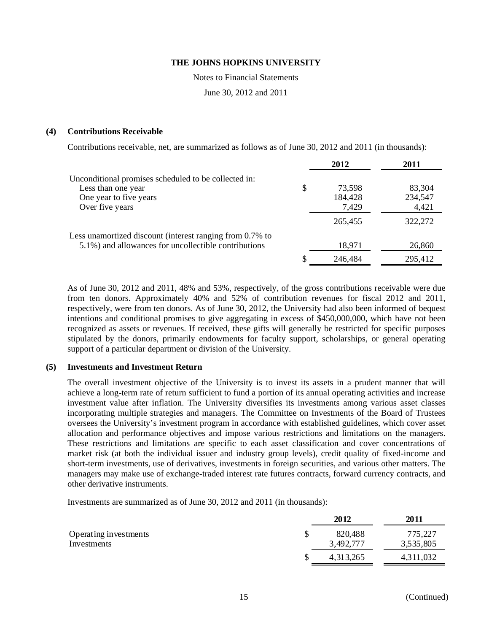Notes to Financial Statements

June 30, 2012 and 2011

#### **(4) Contributions Receivable**

Contributions receivable, net, are summarized as follows as of June 30, 2012 and 2011 (in thousands):

|                                                                                                                  | 2012             | 2011             |
|------------------------------------------------------------------------------------------------------------------|------------------|------------------|
| Unconditional promises scheduled to be collected in:<br>Less than one year                                       | \$<br>73,598     | 83,304           |
| One year to five years<br>Over five years                                                                        | 184,428<br>7,429 | 234,547<br>4,421 |
|                                                                                                                  | 265.455          | 322,272          |
| Less unamortized discount (interest ranging from 0.7% to<br>5.1%) and allowances for uncollectible contributions | 18,971           | 26,860           |
|                                                                                                                  | 246,484          | 295,412          |

As of June 30, 2012 and 2011, 48% and 53%, respectively, of the gross contributions receivable were due from ten donors. Approximately 40% and 52% of contribution revenues for fiscal 2012 and 2011, respectively, were from ten donors. As of June 30, 2012, the University had also been informed of bequest intentions and conditional promises to give aggregating in excess of \$450,000,000, which have not been recognized as assets or revenues. If received, these gifts will generally be restricted for specific purposes stipulated by the donors, primarily endowments for faculty support, scholarships, or general operating support of a particular department or division of the University.

#### **(5) Investments and Investment Return**

The overall investment objective of the University is to invest its assets in a prudent manner that will achieve a long-term rate of return sufficient to fund a portion of its annual operating activities and increase investment value after inflation. The University diversifies its investments among various asset classes incorporating multiple strategies and managers. The Committee on Investments of the Board of Trustees oversees the University's investment program in accordance with established guidelines, which cover asset allocation and performance objectives and impose various restrictions and limitations on the managers. These restrictions and limitations are specific to each asset classification and cover concentrations of market risk (at both the individual issuer and industry group levels), credit quality of fixed-income and short-term investments, use of derivatives, investments in foreign securities, and various other matters. The managers may make use of exchange-traded interest rate futures contracts, forward currency contracts, and other derivative instruments.

Investments are summarized as of June 30, 2012 and 2011 (in thousands):

|                                      | 2012                       | 2011                 |
|--------------------------------------|----------------------------|----------------------|
| Operating investments<br>Investments | \$<br>820,488<br>3,492,777 | 775,227<br>3,535,805 |
|                                      | 4, 313, 265                | 4,311,032            |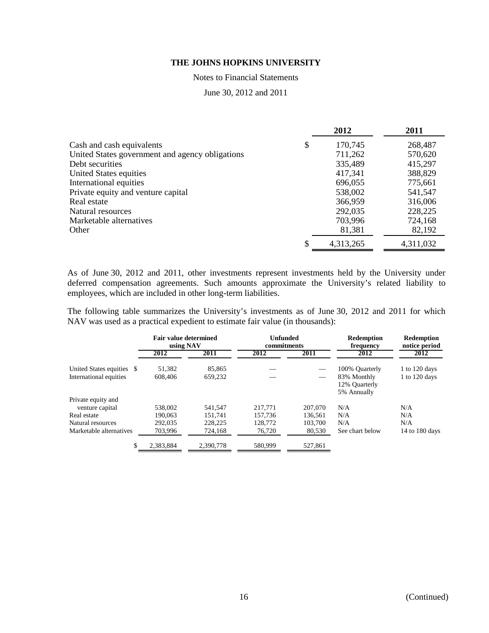Notes to Financial Statements

June 30, 2012 and 2011

|                                                 | 2012          | 2011      |
|-------------------------------------------------|---------------|-----------|
| Cash and cash equivalents                       | \$<br>170,745 | 268,487   |
| United States government and agency obligations | 711,262       | 570,620   |
| Debt securities                                 | 335,489       | 415,297   |
| United States equities                          | 417,341       | 388,829   |
| International equities                          | 696,055       | 775,661   |
| Private equity and venture capital              | 538,002       | 541,547   |
| Real estate                                     | 366,959       | 316,006   |
| Natural resources                               | 292,035       | 228,225   |
| Marketable alternatives                         | 703,996       | 724,168   |
| Other                                           | 81,381        | 82,192    |
|                                                 | 4,313,265     | 4,311,032 |

As of June 30, 2012 and 2011, other investments represent investments held by the University under deferred compensation agreements. Such amounts approximate the University's related liability to employees, which are included in other long-term liabilities.

The following table summarizes the University's investments as of June 30, 2012 and 2011 for which NAV was used as a practical expedient to estimate fair value (in thousands):

|                           | <b>Fair value determined</b><br>using NAV |           | Unfunded<br>commitments |         | <b>Redemption</b><br>frequency              | <b>Redemption</b><br>notice period |
|---------------------------|-------------------------------------------|-----------|-------------------------|---------|---------------------------------------------|------------------------------------|
|                           | 2012                                      | 2011      | 2012                    | 2011    | 2012                                        | 2012                               |
| United States equities \$ | 51,382                                    | 85,865    |                         |         | 100% Quarterly                              | 1 to 120 days                      |
| International equities    | 608,406                                   | 659.232   |                         |         | 83% Monthly<br>12% Ouarterly<br>5% Annually | 1 to 120 days                      |
| Private equity and        |                                           |           |                         |         |                                             |                                    |
| venture capital           | 538,002                                   | 541.547   | 217,771                 | 207,070 | N/A                                         | N/A                                |
| Real estate               | 190,063                                   | 151.741   | 157.736                 | 136.561 | N/A                                         | N/A                                |
| Natural resources         | 292,035                                   | 228,225   | 128,772                 | 103,700 | N/A                                         | N/A                                |
| Marketable alternatives   | 703,996                                   | 724,168   | 76,720                  | 80,530  | See chart below                             | 14 to 180 days                     |
|                           | 2.383.884                                 | 2.390.778 | 580,999                 | 527,861 |                                             |                                    |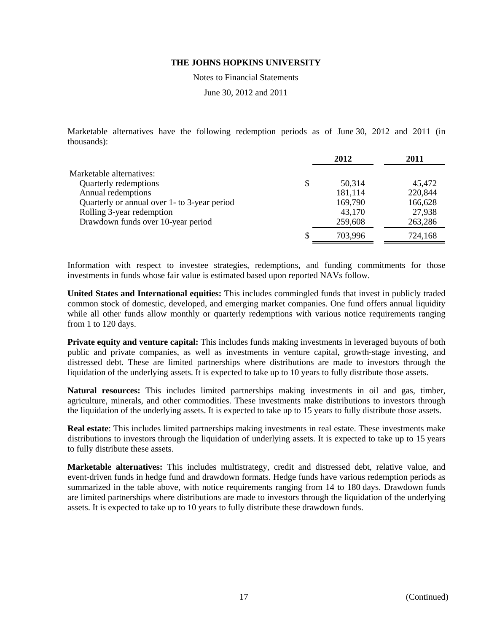Notes to Financial Statements

June 30, 2012 and 2011

Marketable alternatives have the following redemption periods as of June 30, 2012 and 2011 (in thousands):

|                                              | 2012         | 2011    |
|----------------------------------------------|--------------|---------|
| Marketable alternatives:                     |              |         |
| Quarterly redemptions                        | \$<br>50,314 | 45,472  |
| Annual redemptions                           | 181,114      | 220,844 |
| Quarterly or annual over 1- to 3-year period | 169,790      | 166,628 |
| Rolling 3-year redemption                    | 43,170       | 27,938  |
| Drawdown funds over 10-year period           | 259,608      | 263,286 |
|                                              | 703.996      | 724,168 |

Information with respect to investee strategies, redemptions, and funding commitments for those investments in funds whose fair value is estimated based upon reported NAVs follow.

**United States and International equities:** This includes commingled funds that invest in publicly traded common stock of domestic, developed, and emerging market companies. One fund offers annual liquidity while all other funds allow monthly or quarterly redemptions with various notice requirements ranging from 1 to 120 days.

**Private equity and venture capital:** This includes funds making investments in leveraged buyouts of both public and private companies, as well as investments in venture capital, growth-stage investing, and distressed debt. These are limited partnerships where distributions are made to investors through the liquidation of the underlying assets. It is expected to take up to 10 years to fully distribute those assets.

**Natural resources:** This includes limited partnerships making investments in oil and gas, timber, agriculture, minerals, and other commodities. These investments make distributions to investors through the liquidation of the underlying assets. It is expected to take up to 15 years to fully distribute those assets.

**Real estate**: This includes limited partnerships making investments in real estate. These investments make distributions to investors through the liquidation of underlying assets. It is expected to take up to 15 years to fully distribute these assets.

**Marketable alternatives:** This includes multistrategy, credit and distressed debt, relative value, and event-driven funds in hedge fund and drawdown formats. Hedge funds have various redemption periods as summarized in the table above, with notice requirements ranging from 14 to 180 days. Drawdown funds are limited partnerships where distributions are made to investors through the liquidation of the underlying assets. It is expected to take up to 10 years to fully distribute these drawdown funds.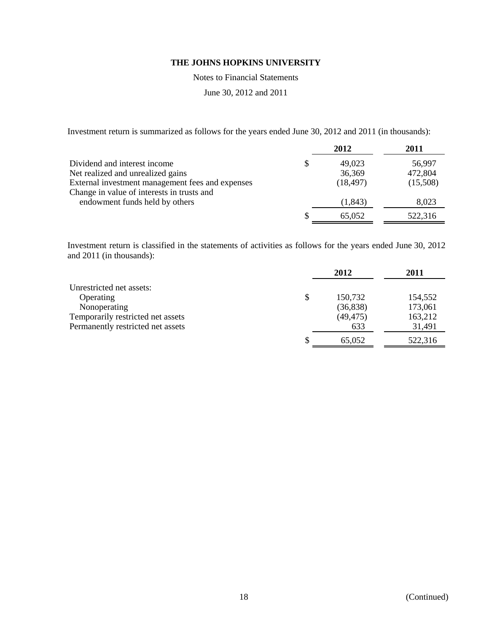Notes to Financial Statements

June 30, 2012 and 2011

Investment return is summarized as follows for the years ended June 30, 2012 and 2011 (in thousands):

|                                                  |   | 2012      | 2011     |
|--------------------------------------------------|---|-----------|----------|
| Dividend and interest income                     | S | 49,023    | 56,997   |
| Net realized and unrealized gains                |   | 36,369    | 472,804  |
| External investment management fees and expenses |   | (18, 497) | (15,508) |
| Change in value of interests in trusts and       |   |           |          |
| endowment funds held by others                   |   | (1, 843)  | 8,023    |
|                                                  |   | 65,052    | 522,316  |

Investment return is classified in the statements of activities as follows for the years ended June 30, 2012 and 2011 (in thousands):

|                                   | 2012          | 2011    |
|-----------------------------------|---------------|---------|
| Unrestricted net assets:          |               |         |
| Operating                         | \$<br>150,732 | 154,552 |
| Nonoperating                      | (36, 838)     | 173,061 |
| Temporarily restricted net assets | (49, 475)     | 163,212 |
| Permanently restricted net assets | 633           | 31,491  |
|                                   | 65,052        | 522,316 |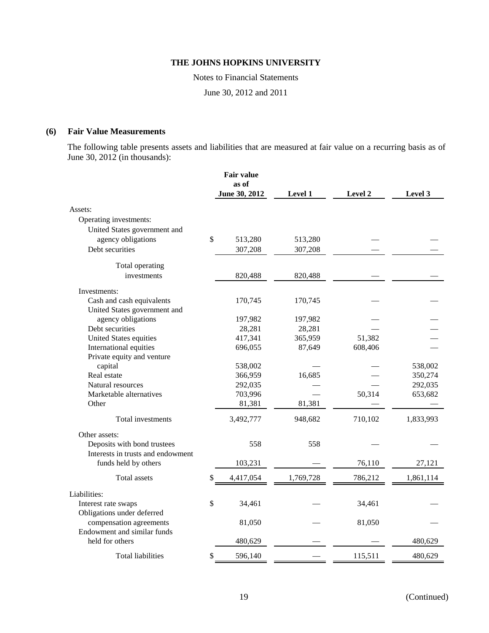Notes to Financial Statements

June 30, 2012 and 2011

### **(6) Fair Value Measurements**

The following table presents assets and liabilities that are measured at fair value on a recurring basis as of June 30, 2012 (in thousands):

|                                   | <b>Fair value</b> |           |         |           |
|-----------------------------------|-------------------|-----------|---------|-----------|
|                                   | as of             |           |         |           |
|                                   | June 30, 2012     | Level 1   | Level 2 | Level 3   |
| Assets:                           |                   |           |         |           |
| Operating investments:            |                   |           |         |           |
| United States government and      |                   |           |         |           |
| agency obligations                | \$<br>513,280     | 513,280   |         |           |
| Debt securities                   | 307,208           | 307,208   |         |           |
| Total operating                   |                   |           |         |           |
| investments                       | 820,488           | 820,488   |         |           |
| Investments:                      |                   |           |         |           |
| Cash and cash equivalents         | 170,745           | 170,745   |         |           |
| United States government and      |                   |           |         |           |
| agency obligations                | 197,982           | 197,982   |         |           |
| Debt securities                   | 28,281            | 28,281    |         |           |
| <b>United States equities</b>     | 417,341           | 365,959   | 51,382  |           |
| International equities            | 696,055           | 87,649    | 608,406 |           |
| Private equity and venture        |                   |           |         |           |
| capital                           | 538,002           |           |         | 538,002   |
| Real estate                       | 366,959           | 16,685    |         | 350,274   |
| Natural resources                 | 292,035           |           |         | 292,035   |
| Marketable alternatives           | 703,996           |           | 50,314  | 653,682   |
| Other                             | 81,381            | 81,381    |         |           |
| Total investments                 | 3,492,777         | 948,682   | 710,102 | 1,833,993 |
| Other assets:                     |                   |           |         |           |
| Deposits with bond trustees       | 558               | 558       |         |           |
| Interests in trusts and endowment |                   |           |         |           |
| funds held by others              | 103,231           |           | 76,110  | 27,121    |
| Total assets                      | \$<br>4,417,054   | 1,769,728 | 786,212 | 1,861,114 |
| Liabilities:                      |                   |           |         |           |
| Interest rate swaps               | \$<br>34,461      |           | 34,461  |           |
| Obligations under deferred        |                   |           |         |           |
| compensation agreements           | 81,050            |           | 81,050  |           |
| Endowment and similar funds       |                   |           |         |           |
| held for others                   | 480,629           |           |         | 480,629   |
| <b>Total liabilities</b>          | \$<br>596,140     |           | 115,511 | 480,629   |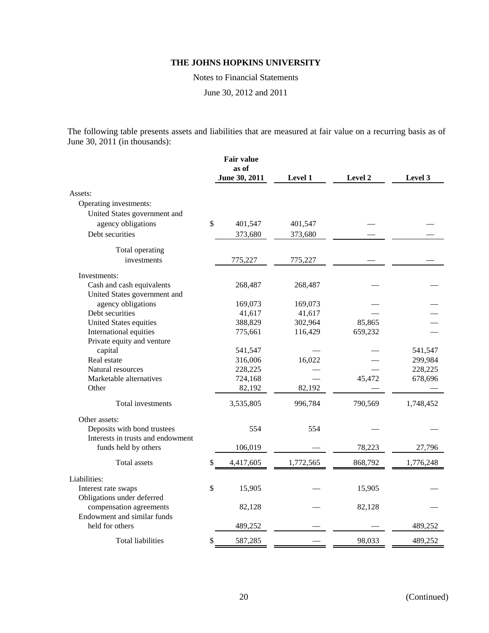Notes to Financial Statements

June 30, 2012 and 2011

The following table presents assets and liabilities that are measured at fair value on a recurring basis as of June 30, 2011 (in thousands):

|                                                | <b>Fair value</b><br>as of<br>June 30, 2011 | Level 1   | Level 2 | Level 3   |
|------------------------------------------------|---------------------------------------------|-----------|---------|-----------|
|                                                |                                             |           |         |           |
| Assets:                                        |                                             |           |         |           |
| Operating investments:                         |                                             |           |         |           |
| United States government and                   |                                             |           |         |           |
| agency obligations                             | \$<br>401,547                               | 401,547   |         |           |
| Debt securities                                | 373,680                                     | 373,680   |         |           |
| Total operating                                |                                             |           |         |           |
| investments                                    | 775,227                                     | 775,227   |         |           |
| Investments:                                   |                                             |           |         |           |
| Cash and cash equivalents                      | 268,487                                     | 268,487   |         |           |
| United States government and                   |                                             |           |         |           |
| agency obligations                             | 169,073                                     | 169,073   |         |           |
| Debt securities                                | 41,617                                      | 41,617    |         |           |
| United States equities                         | 388,829                                     | 302,964   | 85,865  |           |
| International equities                         | 775,661                                     | 116,429   | 659,232 |           |
| Private equity and venture                     |                                             |           |         |           |
| capital                                        | 541,547                                     |           |         | 541,547   |
| Real estate                                    | 316,006                                     | 16,022    |         | 299,984   |
| Natural resources                              | 228,225                                     |           |         | 228,225   |
| Marketable alternatives                        | 724,168                                     |           | 45,472  | 678,696   |
| Other                                          | 82,192                                      | 82,192    |         |           |
| Total investments                              | 3,535,805                                   | 996,784   | 790,569 | 1,748,452 |
| Other assets:                                  |                                             |           |         |           |
| Deposits with bond trustees                    | 554                                         | 554       |         |           |
| Interests in trusts and endowment              |                                             |           |         |           |
| funds held by others                           | 106,019                                     |           | 78,223  | 27,796    |
| <b>Total</b> assets                            | \$<br>4,417,605                             | 1,772,565 | 868,792 | 1,776,248 |
| Liabilities:                                   |                                             |           |         |           |
| Interest rate swaps                            | \$<br>15,905                                |           | 15,905  |           |
| Obligations under deferred                     |                                             |           |         |           |
| compensation agreements                        | 82,128                                      |           | 82,128  |           |
| Endowment and similar funds<br>held for others | 489,252                                     |           |         | 489,252   |
| Total liabilities                              | \$<br>587,285                               |           | 98,033  | 489,252   |
|                                                |                                             |           |         |           |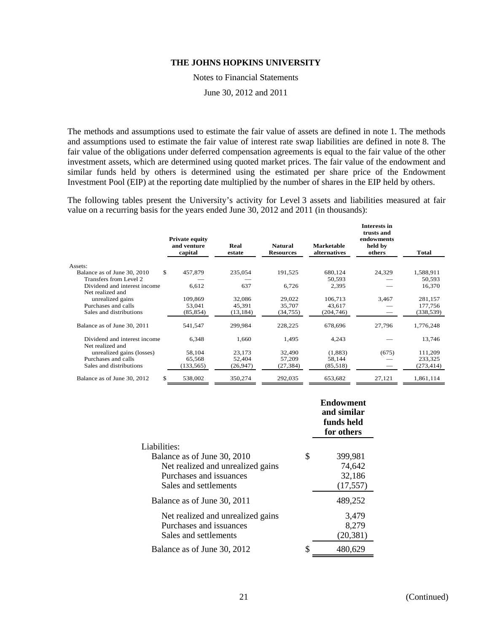Notes to Financial Statements

June 30, 2012 and 2011

The methods and assumptions used to estimate the fair value of assets are defined in note 1. The methods and assumptions used to estimate the fair value of interest rate swap liabilities are defined in note 8. The fair value of the obligations under deferred compensation agreements is equal to the fair value of the other investment assets, which are determined using quoted market prices. The fair value of the endowment and similar funds held by others is determined using the estimated per share price of the Endowment Investment Pool (EIP) at the reporting date multiplied by the number of shares in the EIP held by others.

The following tables present the University's activity for Level 3 assets and liabilities measured at fair value on a recurring basis for the years ended June 30, 2012 and 2011 (in thousands):

|                              | <b>Private equity</b><br>and venture<br>capital | Real<br>estate | <b>Natural</b><br><b>Resources</b> | Marketable<br>alternatives | Interests in<br>trusts and<br>endowments<br>held by<br>others | Total      |
|------------------------------|-------------------------------------------------|----------------|------------------------------------|----------------------------|---------------------------------------------------------------|------------|
| Assets:                      |                                                 |                |                                    |                            |                                                               |            |
| Balance as of June 30, 2010  | \$.<br>457,879                                  | 235,054        | 191,525                            | 680,124                    | 24,329                                                        | 1,588,911  |
| Transfers from Level 2       |                                                 |                |                                    | 50,593                     |                                                               | 50,593     |
| Dividend and interest income | 6,612                                           | 637            | 6,726                              | 2,395                      |                                                               | 16,370     |
| Net realized and             |                                                 |                |                                    |                            |                                                               |            |
| unrealized gains             | 109,869                                         | 32,086         | 29,022                             | 106,713                    | 3,467                                                         | 281,157    |
| Purchases and calls          | 53,041                                          | 45,391         | 35,707                             | 43,617                     |                                                               | 177,756    |
| Sales and distributions      | (85, 854)                                       | (13, 184)      | (34,755)                           | (204, 746)                 |                                                               | (338, 539) |
| Balance as of June 30, 2011  | 541,547                                         | 299,984        | 228,225                            | 678,696                    | 27,796                                                        | 1,776,248  |
| Dividend and interest income | 6,348                                           | 1,660          | 1,495                              | 4,243                      |                                                               | 13,746     |
| Net realized and             |                                                 |                |                                    |                            |                                                               |            |
| unrealized gains (losses)    | 58,104                                          | 23,173         | 32,490                             | (1,883)                    | (675)                                                         | 111,209    |
| Purchases and calls          | 65,568                                          | 52,404         | 57,209                             | 58,144                     |                                                               | 233,325    |
| Sales and distributions      | (133, 565)                                      | (26,947)       | (27, 384)                          | (85,518)                   |                                                               | (273, 414) |
| Balance as of June 30, 2012  | \$<br>538,002                                   | 350,274        | 292,035                            | 653,682                    | 27,121                                                        | 1,861,114  |

|                                   |    | <b>Endowment</b><br>and similar<br>funds held<br>for others |
|-----------------------------------|----|-------------------------------------------------------------|
| Liabilities:                      |    |                                                             |
| Balance as of June 30, 2010       | \$ | 399,981                                                     |
| Net realized and unrealized gains |    | 74,642                                                      |
| Purchases and issuances           |    | 32,186                                                      |
| Sales and settlements             |    | (17, 557)                                                   |
| Balance as of June 30, 2011       |    | 489,252                                                     |
| Net realized and unrealized gains |    | 3,479                                                       |
| Purchases and issuances           |    | 8,279                                                       |
| Sales and settlements             |    | (20, 381)                                                   |
| Balance as of June 30, 2012       | S  | 480,629                                                     |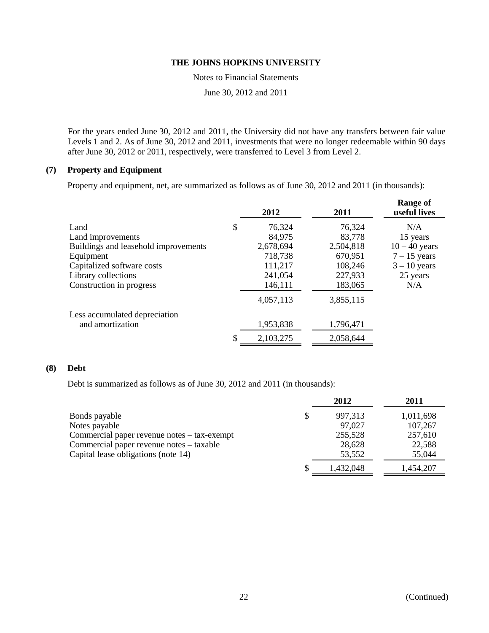Notes to Financial Statements

June 30, 2012 and 2011

For the years ended June 30, 2012 and 2011, the University did not have any transfers between fair value Levels 1 and 2. As of June 30, 2012 and 2011, investments that were no longer redeemable within 90 days after June 30, 2012 or 2011, respectively, were transferred to Level 3 from Level 2.

# **(7) Property and Equipment**

Property and equipment, net, are summarized as follows as of June 30, 2012 and 2011 (in thousands):

|                                      | 2012         | 2011      | <b>Range of</b><br>useful lives |
|--------------------------------------|--------------|-----------|---------------------------------|
| Land                                 | \$<br>76,324 | 76,324    | N/A                             |
| Land improvements                    | 84,975       | 83,778    | 15 years                        |
| Buildings and leasehold improvements | 2,678,694    | 2,504,818 | $10 - 40$ years                 |
| Equipment                            | 718,738      | 670,951   | $7 - 15$ years                  |
| Capitalized software costs           | 111,217      | 108,246   | $3 - 10$ years                  |
| Library collections                  | 241,054      | 227,933   | 25 years                        |
| Construction in progress             | 146,111      | 183,065   | N/A                             |
|                                      | 4,057,113    | 3,855,115 |                                 |
| Less accumulated depreciation        |              |           |                                 |
| and amortization                     | 1,953,838    | 1,796,471 |                                 |
|                                      | 2,103,275    | 2,058,644 |                                 |

### **(8) Debt**

Debt is summarized as follows as of June 30, 2012 and 2011 (in thousands):

|                                             | 2012      | 2011      |
|---------------------------------------------|-----------|-----------|
| Bonds payable                               | 997,313   | 1,011,698 |
| Notes payable                               | 97,027    | 107,267   |
| Commercial paper revenue notes – tax-exempt | 255,528   | 257,610   |
| Commercial paper revenue notes – taxable    | 28,628    | 22,588    |
| Capital lease obligations (note 14)         | 53,552    | 55,044    |
|                                             | 1,432,048 | 1,454,207 |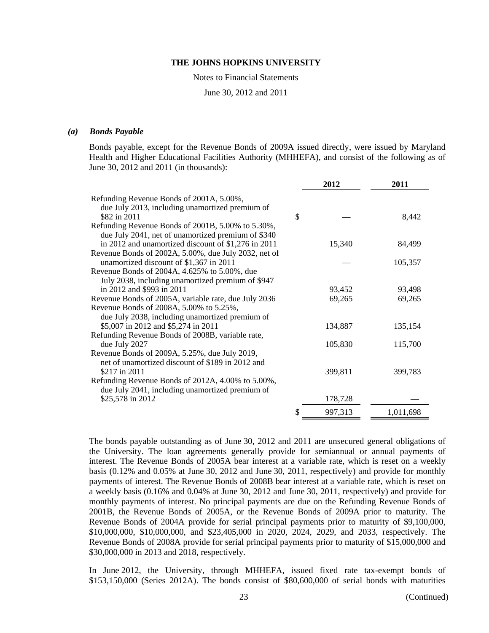Notes to Financial Statements

June 30, 2012 and 2011

#### *(a) Bonds Payable*

Bonds payable, except for the Revenue Bonds of 2009A issued directly, were issued by Maryland Health and Higher Educational Facilities Authority (MHHEFA), and consist of the following as of June 30, 2012 and 2011 (in thousands):

|                                                                                                                                                    |    | 2012    | 2011      |
|----------------------------------------------------------------------------------------------------------------------------------------------------|----|---------|-----------|
| Refunding Revenue Bonds of 2001A, 5.00%,<br>due July 2013, including unamortized premium of<br>\$82 in 2011                                        | \$ |         | 8,442     |
| Refunding Revenue Bonds of 2001B, 5.00% to 5.30%,<br>due July 2041, net of unamortized premium of \$340                                            |    |         |           |
| in 2012 and unamortized discount of \$1,276 in 2011<br>Revenue Bonds of 2002A, 5.00%, due July 2032, net of                                        |    | 15,340  | 84,499    |
| unamortized discount of \$1,367 in 2011<br>Revenue Bonds of 2004A, 4.625% to 5.00%, due                                                            |    |         | 105,357   |
| July 2038, including unamortized premium of \$947                                                                                                  |    |         |           |
| in 2012 and \$993 in 2011                                                                                                                          |    | 93,452  | 93,498    |
| Revenue Bonds of 2005A, variable rate, due July 2036<br>Revenue Bonds of 2008A, 5.00% to 5.25%,<br>due July 2038, including unamortized premium of |    | 69,265  | 69,265    |
| \$5,007 in 2012 and \$5,274 in 2011<br>Refunding Revenue Bonds of 2008B, variable rate,                                                            |    | 134,887 | 135,154   |
| due July 2027<br>Revenue Bonds of 2009A, 5.25%, due July 2019,                                                                                     |    | 105,830 | 115,700   |
| net of unamortized discount of \$189 in 2012 and<br>\$217 in 2011                                                                                  |    | 399,811 | 399,783   |
| Refunding Revenue Bonds of 2012A, 4.00% to 5.00%,<br>due July 2041, including unamortized premium of                                               |    |         |           |
| \$25,578 in 2012                                                                                                                                   |    | 178,728 |           |
|                                                                                                                                                    | S  | 997,313 | 1,011,698 |

The bonds payable outstanding as of June 30, 2012 and 2011 are unsecured general obligations of the University. The loan agreements generally provide for semiannual or annual payments of interest. The Revenue Bonds of 2005A bear interest at a variable rate, which is reset on a weekly basis (0.12% and 0.05% at June 30, 2012 and June 30, 2011, respectively) and provide for monthly payments of interest. The Revenue Bonds of 2008B bear interest at a variable rate, which is reset on a weekly basis (0.16% and 0.04% at June 30, 2012 and June 30, 2011, respectively) and provide for monthly payments of interest. No principal payments are due on the Refunding Revenue Bonds of 2001B, the Revenue Bonds of 2005A, or the Revenue Bonds of 2009A prior to maturity. The Revenue Bonds of 2004A provide for serial principal payments prior to maturity of \$9,100,000, \$10,000,000, \$10,000,000, and \$23,405,000 in 2020, 2024, 2029, and 2033, respectively. The Revenue Bonds of 2008A provide for serial principal payments prior to maturity of \$15,000,000 and \$30,000,000 in 2013 and 2018, respectively.

In June 2012, the University, through MHHEFA, issued fixed rate tax-exempt bonds of \$153,150,000 (Series 2012A). The bonds consist of \$80,600,000 of serial bonds with maturities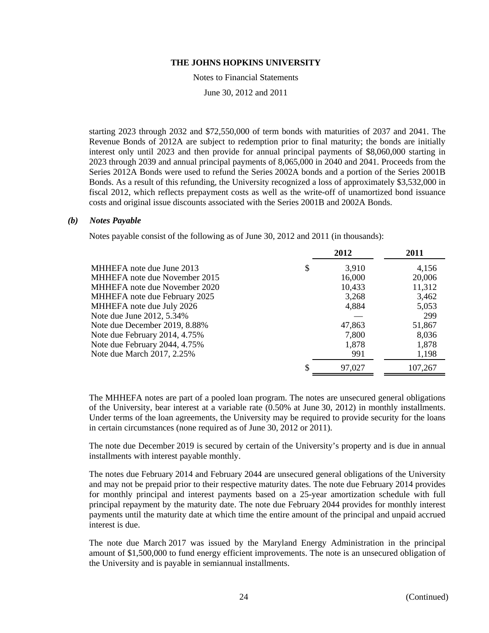Notes to Financial Statements

June 30, 2012 and 2011

starting 2023 through 2032 and \$72,550,000 of term bonds with maturities of 2037 and 2041. The Revenue Bonds of 2012A are subject to redemption prior to final maturity; the bonds are initially interest only until 2023 and then provide for annual principal payments of \$8,060,000 starting in 2023 through 2039 and annual principal payments of 8,065,000 in 2040 and 2041. Proceeds from the Series 2012A Bonds were used to refund the Series 2002A bonds and a portion of the Series 2001B Bonds. As a result of this refunding, the University recognized a loss of approximately \$3,532,000 in fiscal 2012, which reflects prepayment costs as well as the write-off of unamortized bond issuance costs and original issue discounts associated with the Series 2001B and 2002A Bonds.

#### *(b) Notes Payable*

Notes payable consist of the following as of June 30, 2012 and 2011 (in thousands):

|                               |    | 2012   | 2011    |
|-------------------------------|----|--------|---------|
| MHHEFA note due June 2013     | \$ | 3,910  | 4,156   |
| MHHEFA note due November 2015 |    | 16,000 | 20,006  |
| MHHEFA note due November 2020 |    | 10,433 | 11,312  |
| MHHEFA note due February 2025 |    | 3,268  | 3,462   |
| MHHEFA note due July 2026     |    | 4,884  | 5,053   |
| Note due June 2012, 5.34%     |    |        | 299     |
| Note due December 2019, 8.88% |    | 47,863 | 51,867  |
| Note due February 2014, 4.75% |    | 7,800  | 8,036   |
| Note due February 2044, 4.75% |    | 1,878  | 1,878   |
| Note due March 2017, 2.25%    |    | 991    | 1,198   |
|                               | S  | 97,027 | 107,267 |
|                               |    |        |         |

The MHHEFA notes are part of a pooled loan program. The notes are unsecured general obligations of the University, bear interest at a variable rate (0.50% at June 30, 2012) in monthly installments. Under terms of the loan agreements, the University may be required to provide security for the loans in certain circumstances (none required as of June 30, 2012 or 2011).

The note due December 2019 is secured by certain of the University's property and is due in annual installments with interest payable monthly.

The notes due February 2014 and February 2044 are unsecured general obligations of the University and may not be prepaid prior to their respective maturity dates. The note due February 2014 provides for monthly principal and interest payments based on a 25-year amortization schedule with full principal repayment by the maturity date. The note due February 2044 provides for monthly interest payments until the maturity date at which time the entire amount of the principal and unpaid accrued interest is due.

The note due March 2017 was issued by the Maryland Energy Administration in the principal amount of \$1,500,000 to fund energy efficient improvements. The note is an unsecured obligation of the University and is payable in semiannual installments.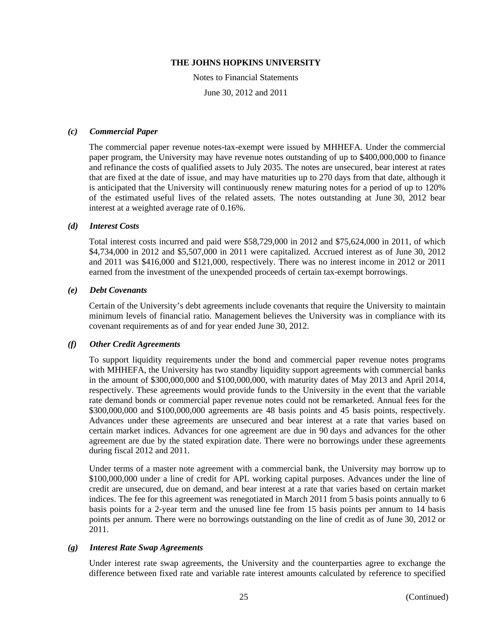Notes to Financial Statements

June 30, 2012 and 2011

### *(c) Commercial Paper*

The commercial paper revenue notes-tax-exempt were issued by MHHEFA. Under the commercial paper program, the University may have revenue notes outstanding of up to \$400,000,000 to finance and refinance the costs of qualified assets to July 2035. The notes are unsecured, bear interest at rates that are fixed at the date of issue, and may have maturities up to 270 days from that date, although it is anticipated that the University will continuously renew maturing notes for a period of up to 120% of the estimated useful lives of the related assets. The notes outstanding at June 30, 2012 bear interest at a weighted average rate of 0.16%.

### *(d) Interest Costs*

Total interest costs incurred and paid were \$58,729,000 in 2012 and \$75,624,000 in 2011, of which \$4,734,000 in 2012 and \$5,507,000 in 2011 were capitalized. Accrued interest as of June 30, 2012 and 2011 was \$416,000 and \$121,000, respectively. There was no interest income in 2012 or 2011 earned from the investment of the unexpended proceeds of certain tax-exempt borrowings.

### *(e) Debt Covenants*

Certain of the University's debt agreements include covenants that require the University to maintain minimum levels of financial ratio. Management believes the University was in compliance with its covenant requirements as of and for year ended June 30, 2012.

#### *(f) Other Credit Agreements*

To support liquidity requirements under the bond and commercial paper revenue notes programs with MHHEFA, the University has two standby liquidity support agreements with commercial banks in the amount of \$300,000,000 and \$100,000,000, with maturity dates of May 2013 and April 2014, respectively. These agreements would provide funds to the University in the event that the variable rate demand bonds or commercial paper revenue notes could not be remarketed. Annual fees for the \$300,000,000 and \$100,000,000 agreements are 48 basis points and 45 basis points, respectively. Advances under these agreements are unsecured and bear interest at a rate that varies based on certain market indices. Advances for one agreement are due in 90 days and advances for the other agreement are due by the stated expiration date. There were no borrowings under these agreements during fiscal 2012 and 2011.

Under terms of a master note agreement with a commercial bank, the University may borrow up to \$100,000,000 under a line of credit for APL working capital purposes. Advances under the line of credit are unsecured, due on demand, and bear interest at a rate that varies based on certain market indices. The fee for this agreement was renegotiated in March 2011 from 5 basis points annually to 6 basis points for a 2-year term and the unused line fee from 15 basis points per annum to 14 basis points per annum. There were no borrowings outstanding on the line of credit as of June 30, 2012 or 2011.

#### *(g) Interest Rate Swap Agreements*

Under interest rate swap agreements, the University and the counterparties agree to exchange the difference between fixed rate and variable rate interest amounts calculated by reference to specified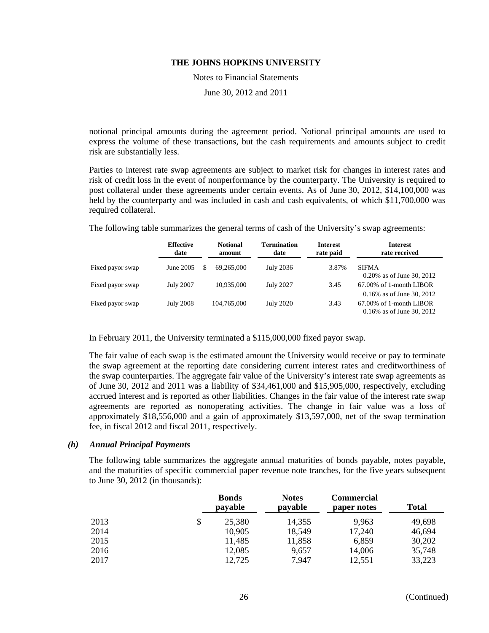Notes to Financial Statements

June 30, 2012 and 2011

notional principal amounts during the agreement period. Notional principal amounts are used to express the volume of these transactions, but the cash requirements and amounts subject to credit risk are substantially less.

Parties to interest rate swap agreements are subject to market risk for changes in interest rates and risk of credit loss in the event of nonperformance by the counterparty. The University is required to post collateral under these agreements under certain events. As of June 30, 2012, \$14,100,000 was held by the counterparty and was included in cash and cash equivalents, of which \$11,700,000 was required collateral.

The following table summarizes the general terms of cash of the University's swap agreements:

|                  | <b>Effective</b><br>date | <b>Notional</b><br>amount | <b>Termination</b><br>date | <b>Interest</b><br>rate paid | <b>Interest</b><br>rate received                                                        |
|------------------|--------------------------|---------------------------|----------------------------|------------------------------|-----------------------------------------------------------------------------------------|
| Fixed payor swap | June 2005                | S<br>69.265,000           | July 2036                  | 3.87%                        | <b>SIFMA</b><br>0.20% as of June 30, 2012                                               |
| Fixed payor swap | <b>July 2007</b>         | 10.935,000                | <b>July 2027</b>           | 3.45                         | 67.00% of 1-month LIBOR                                                                 |
| Fixed payor swap | <b>July 2008</b>         | 104,765,000               | <b>July 2020</b>           | 3.43                         | 0.16% as of June 30, 2012<br>$67.00\%$ of 1-month LIBOR<br>$0.16\%$ as of June 30, 2012 |

In February 2011, the University terminated a \$115,000,000 fixed payor swap.

The fair value of each swap is the estimated amount the University would receive or pay to terminate the swap agreement at the reporting date considering current interest rates and creditworthiness of the swap counterparties. The aggregate fair value of the University's interest rate swap agreements as of June 30, 2012 and 2011 was a liability of \$34,461,000 and \$15,905,000, respectively, excluding accrued interest and is reported as other liabilities. Changes in the fair value of the interest rate swap agreements are reported as nonoperating activities. The change in fair value was a loss of approximately \$18,556,000 and a gain of approximately \$13,597,000, net of the swap termination fee, in fiscal 2012 and fiscal 2011, respectively.

#### *(h) Annual Principal Payments*

The following table summarizes the aggregate annual maturities of bonds payable, notes payable, and the maturities of specific commercial paper revenue note tranches, for the five years subsequent to June 30, 2012 (in thousands):

|      | <b>Bonds</b><br>payable | <b>Notes</b><br>payable | <b>Commercial</b><br>paper notes | <b>Total</b> |
|------|-------------------------|-------------------------|----------------------------------|--------------|
| 2013 | \$<br>25,380            | 14,355                  | 9,963                            | 49,698       |
| 2014 | 10,905                  | 18,549                  | 17,240                           | 46,694       |
| 2015 | 11,485                  | 11,858                  | 6,859                            | 30,202       |
| 2016 | 12,085                  | 9,657                   | 14,006                           | 35,748       |
| 2017 | 12,725                  | 7,947                   | 12.551                           | 33,223       |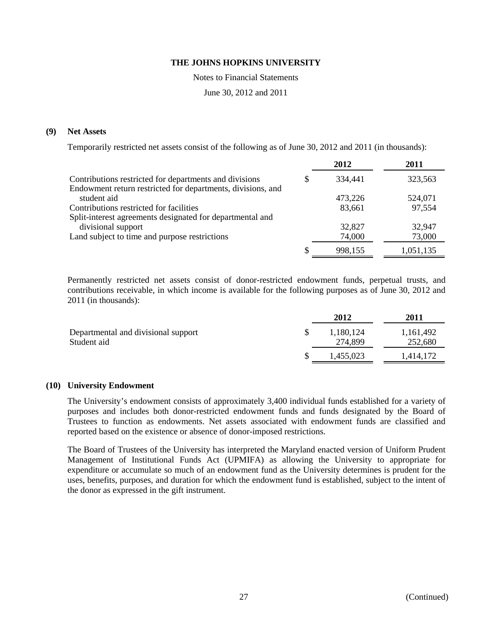Notes to Financial Statements

June 30, 2012 and 2011

### **(9) Net Assets**

Temporarily restricted net assets consist of the following as of June 30, 2012 and 2011 (in thousands):

|                                                             |   | 2012    | 2011      |
|-------------------------------------------------------------|---|---------|-----------|
| Contributions restricted for departments and divisions      | S | 334,441 | 323,563   |
| Endowment return restricted for departments, divisions, and |   |         |           |
| student aid                                                 |   | 473,226 | 524,071   |
| Contributions restricted for facilities                     |   | 83,661  | 97,554    |
| Split-interest agreements designated for departmental and   |   |         |           |
| divisional support                                          |   | 32,827  | 32,947    |
| Land subject to time and purpose restrictions               |   | 74,000  | 73,000    |
|                                                             | S | 998,155 | 1,051,135 |

Permanently restricted net assets consist of donor-restricted endowment funds, perpetual trusts, and contributions receivable, in which income is available for the following purposes as of June 30, 2012 and 2011 (in thousands):

|                                                    | 2012                 | <b>2011</b>          |
|----------------------------------------------------|----------------------|----------------------|
| Departmental and divisional support<br>Student aid | 1,180,124<br>274,899 | 1,161,492<br>252,680 |
|                                                    | 1,455,023            | 1,414,172            |

#### **(10) University Endowment**

The University's endowment consists of approximately 3,400 individual funds established for a variety of purposes and includes both donor-restricted endowment funds and funds designated by the Board of Trustees to function as endowments. Net assets associated with endowment funds are classified and reported based on the existence or absence of donor-imposed restrictions.

The Board of Trustees of the University has interpreted the Maryland enacted version of Uniform Prudent Management of Institutional Funds Act (UPMIFA) as allowing the University to appropriate for expenditure or accumulate so much of an endowment fund as the University determines is prudent for the uses, benefits, purposes, and duration for which the endowment fund is established, subject to the intent of the donor as expressed in the gift instrument.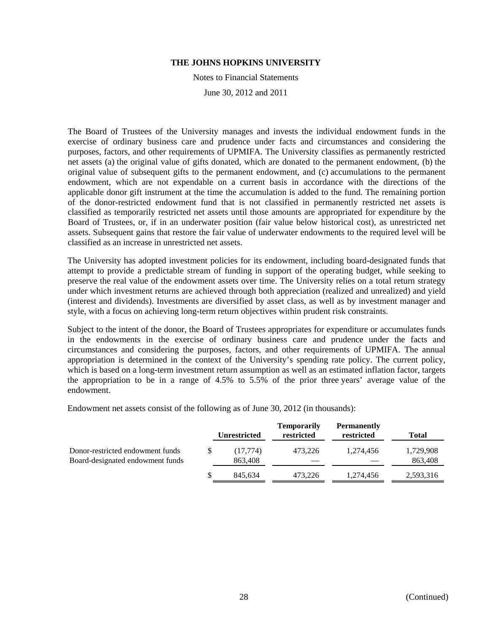Notes to Financial Statements

June 30, 2012 and 2011

The Board of Trustees of the University manages and invests the individual endowment funds in the exercise of ordinary business care and prudence under facts and circumstances and considering the purposes, factors, and other requirements of UPMIFA. The University classifies as permanently restricted net assets (a) the original value of gifts donated, which are donated to the permanent endowment, (b) the original value of subsequent gifts to the permanent endowment, and (c) accumulations to the permanent endowment, which are not expendable on a current basis in accordance with the directions of the applicable donor gift instrument at the time the accumulation is added to the fund. The remaining portion of the donor-restricted endowment fund that is not classified in permanently restricted net assets is classified as temporarily restricted net assets until those amounts are appropriated for expenditure by the Board of Trustees, or, if in an underwater position (fair value below historical cost), as unrestricted net assets. Subsequent gains that restore the fair value of underwater endowments to the required level will be classified as an increase in unrestricted net assets.

The University has adopted investment policies for its endowment, including board-designated funds that attempt to provide a predictable stream of funding in support of the operating budget, while seeking to preserve the real value of the endowment assets over time. The University relies on a total return strategy under which investment returns are achieved through both appreciation (realized and unrealized) and yield (interest and dividends). Investments are diversified by asset class, as well as by investment manager and style, with a focus on achieving long-term return objectives within prudent risk constraints.

Subject to the intent of the donor, the Board of Trustees appropriates for expenditure or accumulates funds in the endowments in the exercise of ordinary business care and prudence under the facts and circumstances and considering the purposes, factors, and other requirements of UPMIFA. The annual appropriation is determined in the context of the University's spending rate policy. The current policy, which is based on a long-term investment return assumption as well as an estimated inflation factor, targets the appropriation to be in a range of 4.5% to 5.5% of the prior three years' average value of the endowment.

Endowment net assets consist of the following as of June 30, 2012 (in thousands):

|                                                                      |    | <b>Unrestricted</b> | <b>Temporarily</b><br>restricted | <b>Permanently</b><br>restricted | Total                |
|----------------------------------------------------------------------|----|---------------------|----------------------------------|----------------------------------|----------------------|
| Donor-restricted endowment funds<br>Board-designated endowment funds | S  | (17,774)<br>863,408 | 473.226                          | 1.274.456                        | 1,729,908<br>863,408 |
|                                                                      | S. | 845.634             | 473.226                          | 1,274,456                        | 2,593,316            |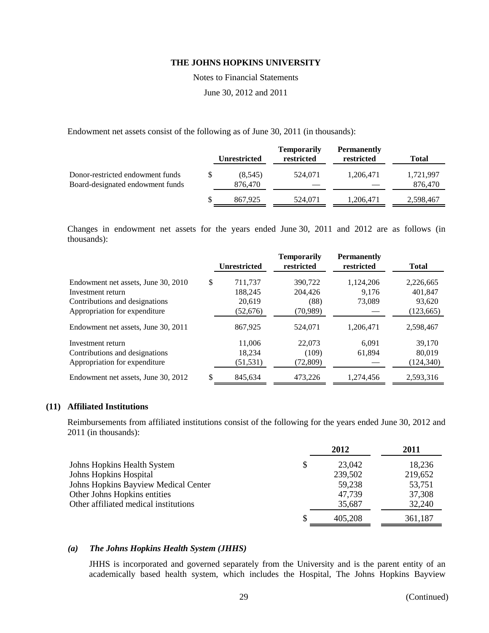Notes to Financial Statements

June 30, 2012 and 2011

Endowment net assets consist of the following as of June 30, 2011 (in thousands):

|                                                                      | <b>Unrestricted</b> | <b>Temporarily</b><br>restricted | <b>Permanently</b><br>restricted | Total                |
|----------------------------------------------------------------------|---------------------|----------------------------------|----------------------------------|----------------------|
| Donor-restricted endowment funds<br>Board-designated endowment funds | (8,545)<br>876.470  | 524,071                          | 1,206,471                        | 1,721,997<br>876,470 |
|                                                                      | 867.925             | 524.071                          | 1,206,471                        | 2,598,467            |

Changes in endowment net assets for the years ended June 30, 2011 and 2012 are as follows (in thousands):

|                                     | <b>Unrestricted</b> | <b>Temporarily</b><br>restricted | <b>Permanently</b><br>restricted | <b>Total</b> |
|-------------------------------------|---------------------|----------------------------------|----------------------------------|--------------|
| Endowment net assets, June 30, 2010 | \$<br>711.737       | 390.722                          | 1,124,206                        | 2,226,665    |
| Investment return                   | 188,245             | 204,426                          | 9.176                            | 401,847      |
| Contributions and designations      | 20,619              | (88)                             | 73,089                           | 93,620       |
| Appropriation for expenditure       | (52,676)            | (70, 989)                        |                                  | (123, 665)   |
| Endowment net assets, June 30, 2011 | 867,925             | 524.071                          | 1,206,471                        | 2,598,467    |
| Investment return                   | 11.006              | 22,073                           | 6.091                            | 39,170       |
| Contributions and designations      | 18.234              | (109)                            | 61,894                           | 80,019       |
| Appropriation for expenditure       | (51, 531)           | (72, 809)                        |                                  | (124, 340)   |
| Endowment net assets, June 30, 2012 | \$<br>845,634       | 473,226                          | 1,274,456                        | 2,593,316    |

### **(11) Affiliated Institutions**

Reimbursements from affiliated institutions consist of the following for the years ended June 30, 2012 and 2011 (in thousands):

|   | 2012    | 2011    |
|---|---------|---------|
| S | 23,042  | 18,236  |
|   | 239,502 | 219,652 |
|   | 59,238  | 53,751  |
|   | 47.739  | 37,308  |
|   | 35,687  | 32,240  |
|   | 405.208 | 361,187 |
|   |         |         |

#### *(a) The Johns Hopkins Health System (JHHS)*

JHHS is incorporated and governed separately from the University and is the parent entity of an academically based health system, which includes the Hospital, The Johns Hopkins Bayview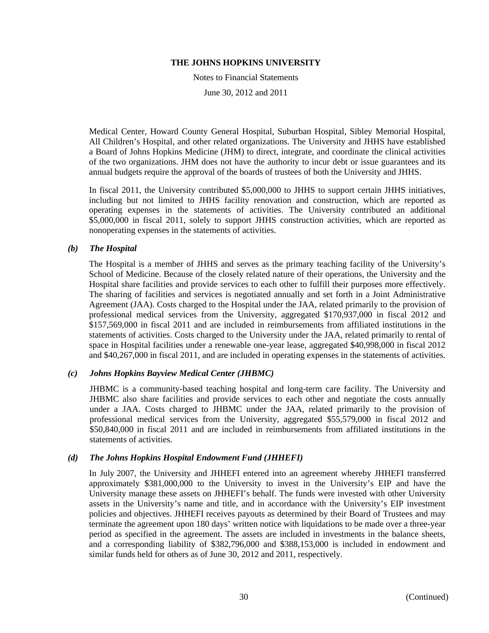Notes to Financial Statements

June 30, 2012 and 2011

Medical Center, Howard County General Hospital, Suburban Hospital, Sibley Memorial Hospital, All Children's Hospital, and other related organizations. The University and JHHS have established a Board of Johns Hopkins Medicine (JHM) to direct, integrate, and coordinate the clinical activities of the two organizations. JHM does not have the authority to incur debt or issue guarantees and its annual budgets require the approval of the boards of trustees of both the University and JHHS.

In fiscal 2011, the University contributed \$5,000,000 to JHHS to support certain JHHS initiatives, including but not limited to JHHS facility renovation and construction, which are reported as operating expenses in the statements of activities. The University contributed an additional \$5,000,000 in fiscal 2011, solely to support JHHS construction activities, which are reported as nonoperating expenses in the statements of activities.

### *(b) The Hospital*

The Hospital is a member of JHHS and serves as the primary teaching facility of the University's School of Medicine. Because of the closely related nature of their operations, the University and the Hospital share facilities and provide services to each other to fulfill their purposes more effectively. The sharing of facilities and services is negotiated annually and set forth in a Joint Administrative Agreement (JAA). Costs charged to the Hospital under the JAA, related primarily to the provision of professional medical services from the University, aggregated \$170,937,000 in fiscal 2012 and \$157,569,000 in fiscal 2011 and are included in reimbursements from affiliated institutions in the statements of activities. Costs charged to the University under the JAA, related primarily to rental of space in Hospital facilities under a renewable one-year lease, aggregated \$40,998,000 in fiscal 2012 and \$40,267,000 in fiscal 2011, and are included in operating expenses in the statements of activities.

# *(c) Johns Hopkins Bayview Medical Center (JHBMC)*

JHBMC is a community-based teaching hospital and long-term care facility. The University and JHBMC also share facilities and provide services to each other and negotiate the costs annually under a JAA. Costs charged to JHBMC under the JAA, related primarily to the provision of professional medical services from the University, aggregated \$55,579,000 in fiscal 2012 and \$50,840,000 in fiscal 2011 and are included in reimbursements from affiliated institutions in the statements of activities.

#### *(d) The Johns Hopkins Hospital Endowment Fund (JHHEFI)*

In July 2007, the University and JHHEFI entered into an agreement whereby JHHEFI transferred approximately \$381,000,000 to the University to invest in the University's EIP and have the University manage these assets on JHHEFI's behalf. The funds were invested with other University assets in the University's name and title, and in accordance with the University's EIP investment policies and objectives. JHHEFI receives payouts as determined by their Board of Trustees and may terminate the agreement upon 180 days' written notice with liquidations to be made over a three-year period as specified in the agreement. The assets are included in investments in the balance sheets, and a corresponding liability of \$382,796,000 and \$388,153,000 is included in endowment and similar funds held for others as of June 30, 2012 and 2011, respectively.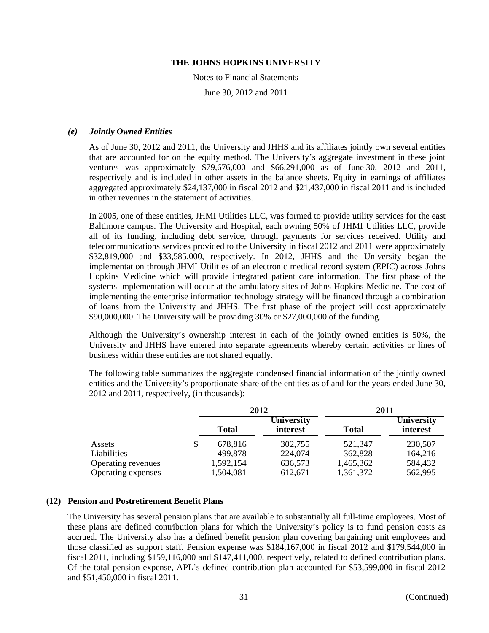Notes to Financial Statements

June 30, 2012 and 2011

### *(e) Jointly Owned Entities*

As of June 30, 2012 and 2011, the University and JHHS and its affiliates jointly own several entities that are accounted for on the equity method. The University's aggregate investment in these joint ventures was approximately \$79,676,000 and \$66,291,000 as of June 30, 2012 and 2011, respectively and is included in other assets in the balance sheets. Equity in earnings of affiliates aggregated approximately \$24,137,000 in fiscal 2012 and \$21,437,000 in fiscal 2011 and is included in other revenues in the statement of activities.

In 2005, one of these entities, JHMI Utilities LLC, was formed to provide utility services for the east Baltimore campus. The University and Hospital, each owning 50% of JHMI Utilities LLC, provide all of its funding, including debt service, through payments for services received. Utility and telecommunications services provided to the University in fiscal 2012 and 2011 were approximately \$32,819,000 and \$33,585,000, respectively. In 2012, JHHS and the University began the implementation through JHMI Utilities of an electronic medical record system (EPIC) across Johns Hopkins Medicine which will provide integrated patient care information. The first phase of the systems implementation will occur at the ambulatory sites of Johns Hopkins Medicine. The cost of implementing the enterprise information technology strategy will be financed through a combination of loans from the University and JHHS. The first phase of the project will cost approximately \$90,000,000. The University will be providing 30% or \$27,000,000 of the funding.

Although the University's ownership interest in each of the jointly owned entities is 50%, the University and JHHS have entered into separate agreements whereby certain activities or lines of business within these entities are not shared equally.

The following table summarizes the aggregate condensed financial information of the jointly owned entities and the University's proportionate share of the entities as of and for the years ended June 30, 2012 and 2011, respectively, (in thousands):

|                    |               | 2012                   | 2011         |                               |
|--------------------|---------------|------------------------|--------------|-------------------------------|
|                    | <b>Total</b>  | University<br>interest | <b>Total</b> | <b>University</b><br>interest |
| Assets             | \$<br>678,816 | 302,755                | 521,347      | 230,507                       |
| Liabilities        | 499,878       | 224,074                | 362,828      | 164,216                       |
| Operating revenues | 1,592,154     | 636,573                | 1,465,362    | 584,432                       |
| Operating expenses | 1,504,081     | 612,671                | 1,361,372    | 562,995                       |

# **(12) Pension and Postretirement Benefit Plans**

The University has several pension plans that are available to substantially all full-time employees. Most of these plans are defined contribution plans for which the University's policy is to fund pension costs as accrued. The University also has a defined benefit pension plan covering bargaining unit employees and those classified as support staff. Pension expense was \$184,167,000 in fiscal 2012 and \$179,544,000 in fiscal 2011, including \$159,116,000 and \$147,411,000, respectively, related to defined contribution plans. Of the total pension expense, APL's defined contribution plan accounted for \$53,599,000 in fiscal 2012 and \$51,450,000 in fiscal 2011.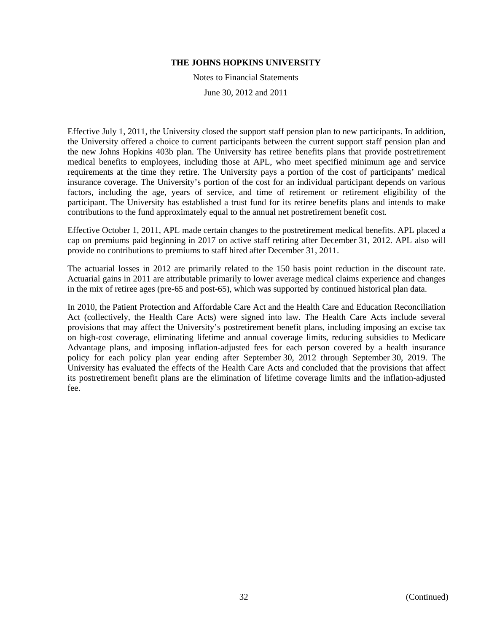Notes to Financial Statements

June 30, 2012 and 2011

Effective July 1, 2011, the University closed the support staff pension plan to new participants. In addition, the University offered a choice to current participants between the current support staff pension plan and the new Johns Hopkins 403b plan. The University has retiree benefits plans that provide postretirement medical benefits to employees, including those at APL, who meet specified minimum age and service requirements at the time they retire. The University pays a portion of the cost of participants' medical insurance coverage. The University's portion of the cost for an individual participant depends on various factors, including the age, years of service, and time of retirement or retirement eligibility of the participant. The University has established a trust fund for its retiree benefits plans and intends to make contributions to the fund approximately equal to the annual net postretirement benefit cost.

Effective October 1, 2011, APL made certain changes to the postretirement medical benefits. APL placed a cap on premiums paid beginning in 2017 on active staff retiring after December 31, 2012. APL also will provide no contributions to premiums to staff hired after December 31, 2011.

The actuarial losses in 2012 are primarily related to the 150 basis point reduction in the discount rate. Actuarial gains in 2011 are attributable primarily to lower average medical claims experience and changes in the mix of retiree ages (pre-65 and post-65), which was supported by continued historical plan data.

In 2010, the Patient Protection and Affordable Care Act and the Health Care and Education Reconciliation Act (collectively, the Health Care Acts) were signed into law. The Health Care Acts include several provisions that may affect the University's postretirement benefit plans, including imposing an excise tax on high-cost coverage, eliminating lifetime and annual coverage limits, reducing subsidies to Medicare Advantage plans, and imposing inflation-adjusted fees for each person covered by a health insurance policy for each policy plan year ending after September 30, 2012 through September 30, 2019. The University has evaluated the effects of the Health Care Acts and concluded that the provisions that affect its postretirement benefit plans are the elimination of lifetime coverage limits and the inflation-adjusted fee.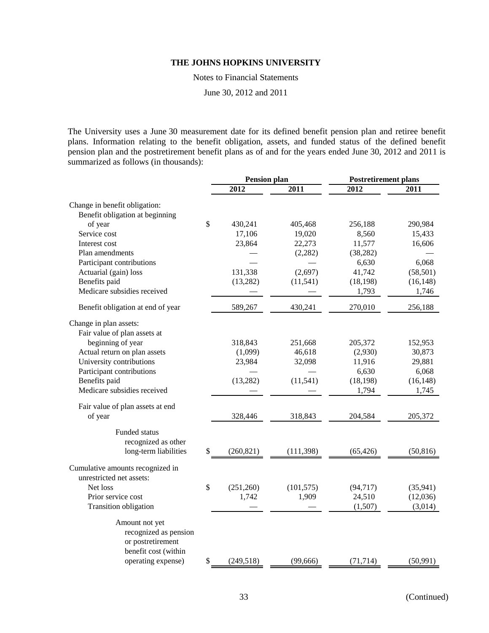Notes to Financial Statements

June 30, 2012 and 2011

The University uses a June 30 measurement date for its defined benefit pension plan and retiree benefit plans. Information relating to the benefit obligation, assets, and funded status of the defined benefit pension plan and the postretirement benefit plans as of and for the years ended June 30, 2012 and 2011 is summarized as follows (in thousands):

|                                   | <b>Pension plan</b> |            | <b>Postretirement plans</b> |           |
|-----------------------------------|---------------------|------------|-----------------------------|-----------|
|                                   | 2012                | 2011       | 2012                        | 2011      |
| Change in benefit obligation:     |                     |            |                             |           |
| Benefit obligation at beginning   |                     |            |                             |           |
| of year                           | \$<br>430,241       | 405,468    | 256,188                     | 290,984   |
| Service cost                      | 17,106              | 19,020     | 8,560                       | 15,433    |
| Interest cost                     | 23,864              | 22,273     | 11,577                      | 16,606    |
| Plan amendments                   |                     | (2, 282)   | (38, 282)                   |           |
| Participant contributions         |                     |            | 6,630                       | 6,068     |
| Actuarial (gain) loss             | 131,338             | (2,697)    | 41,742                      | (58, 501) |
| Benefits paid                     | (13, 282)           | (11, 541)  | (18, 198)                   | (16, 148) |
| Medicare subsidies received       |                     |            | 1,793                       | 1,746     |
| Benefit obligation at end of year | 589,267             | 430,241    | 270,010                     | 256,188   |
| Change in plan assets:            |                     |            |                             |           |
| Fair value of plan assets at      |                     |            |                             |           |
| beginning of year                 | 318,843             | 251,668    | 205,372                     | 152,953   |
| Actual return on plan assets      | (1,099)             | 46,618     | (2,930)                     | 30,873    |
| University contributions          | 23,984              | 32,098     | 11,916                      | 29,881    |
| Participant contributions         |                     |            | 6,630                       | 6,068     |
| Benefits paid                     | (13, 282)           | (11, 541)  | (18, 198)                   | (16, 148) |
| Medicare subsidies received       |                     |            | 1,794                       | 1,745     |
| Fair value of plan assets at end  |                     |            |                             |           |
| of year                           | 328,446             | 318,843    | 204,584                     | 205,372   |
| Funded status                     |                     |            |                             |           |
| recognized as other               |                     |            |                             |           |
| long-term liabilities             | \$<br>(260, 821)    | (111, 398) | (65, 426)                   | (50, 816) |
| Cumulative amounts recognized in  |                     |            |                             |           |
| unrestricted net assets:          |                     |            |                             |           |
| Net loss                          | \$<br>(251, 260)    | (101, 575) | (94, 717)                   | (35, 941) |
| Prior service cost                | 1,742               | 1,909      | 24,510                      | (12,036)  |
| Transition obligation             |                     |            | (1,507)                     | (3,014)   |
| Amount not yet                    |                     |            |                             |           |
| recognized as pension             |                     |            |                             |           |
| or postretirement                 |                     |            |                             |           |
| benefit cost (within              |                     |            |                             |           |
| operating expense)                | \$<br>(249, 518)    | (99, 666)  | (71, 714)                   | (50, 991) |
|                                   |                     |            |                             |           |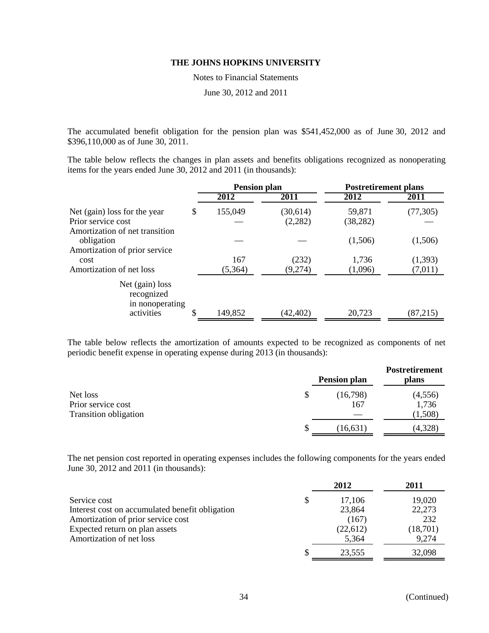Notes to Financial Statements

June 30, 2012 and 2011

The accumulated benefit obligation for the pension plan was \$541,452,000 as of June 30, 2012 and \$396,110,000 as of June 30, 2011.

The table below reflects the changes in plan assets and benefits obligations recognized as nonoperating items for the years ended June 30, 2012 and 2011 (in thousands):

|                                                                                            | <b>Pension plan</b> |                     | <b>Postretirement plans</b> |                    |  |
|--------------------------------------------------------------------------------------------|---------------------|---------------------|-----------------------------|--------------------|--|
|                                                                                            | 2012                | 2011                | 2012                        | 2011               |  |
| Net (gain) loss for the year<br>\$<br>Prior service cost<br>Amortization of net transition | 155,049             | (30,614)<br>(2,282) | 59,871<br>(38, 282)         | (77, 305)          |  |
| obligation<br>Amortization of prior service                                                |                     |                     | (1,506)                     | (1,506)            |  |
| cost<br>Amortization of net loss                                                           | 167<br>(5,364)      | (232)<br>(9,274)    | 1,736<br>(1,096)            | (1,393)<br>(7,011) |  |
| Net (gain) loss<br>recognized<br>in nonoperating<br>activities                             | 149,852             | (42, 402)           | 20,723                      | (87,215)           |  |

The table below reflects the amortization of amounts expected to be recognized as components of net periodic benefit expense in operating expense during 2013 (in thousands):

|                              | <b>Pension plan</b> | <b>Postretirement</b><br>plans |
|------------------------------|---------------------|--------------------------------|
| Net loss                     | \$<br>(16,798)      | (4, 556)                       |
| Prior service cost           | 167                 | 1,736                          |
| <b>Transition obligation</b> |                     | (1,508)                        |
|                              | (16, 631)           | (4,328)                        |

The net pension cost reported in operating expenses includes the following components for the years ended June 30, 2012 and 2011 (in thousands):

|                                                 | 2012     | 2011     |
|-------------------------------------------------|----------|----------|
| Service cost                                    | 17,106   | 19,020   |
| Interest cost on accumulated benefit obligation | 23,864   | 22,273   |
| Amortization of prior service cost              | (167)    | 232      |
| Expected return on plan assets                  | (22,612) | (18,701) |
| Amortization of net loss                        | 5,364    | 9,274    |
|                                                 | 23.555   | 32,098   |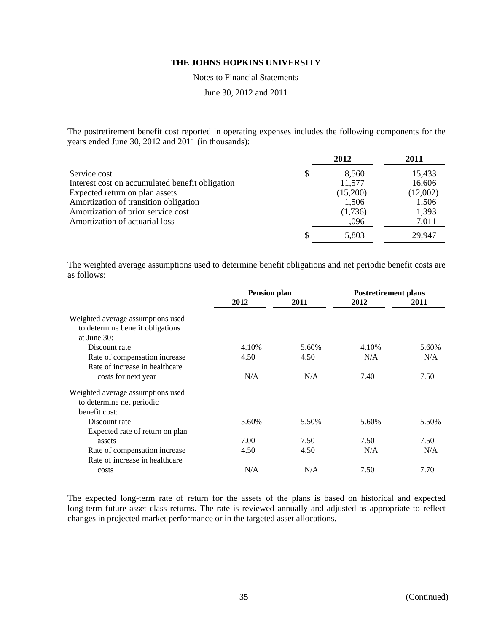Notes to Financial Statements

June 30, 2012 and 2011

The postretirement benefit cost reported in operating expenses includes the following components for the years ended June 30, 2012 and 2011 (in thousands):

|                                                 |               | 2012     | 2011     |
|-------------------------------------------------|---------------|----------|----------|
| Service cost                                    | <sup>\$</sup> | 8,560    | 15,433   |
| Interest cost on accumulated benefit obligation |               | 11,577   | 16,606   |
| Expected return on plan assets                  |               | (15,200) | (12,002) |
| Amortization of transition obligation           |               | 1,506    | 1,506    |
| Amortization of prior service cost              |               | (1,736)  | 1,393    |
| Amortization of actuarial loss                  |               | 1,096    | 7,011    |
|                                                 |               | 5,803    | 29,947   |

The weighted average assumptions used to determine benefit obligations and net periodic benefit costs are as follows:

| <b>Pension plan</b> |       | <b>Postretirement plans</b> |       |
|---------------------|-------|-----------------------------|-------|
| 2012                | 2011  | 2012                        | 2011  |
|                     |       |                             |       |
|                     |       |                             |       |
|                     |       |                             |       |
| 4.10%               | 5.60% | 4.10%                       | 5.60% |
| 4.50                | 4.50  | N/A                         | N/A   |
|                     |       |                             |       |
| N/A                 | N/A   | 7.40                        | 7.50  |
|                     |       |                             |       |
|                     |       |                             |       |
|                     |       |                             |       |
| 5.60%               | 5.50% | 5.60%                       | 5.50% |
|                     |       |                             |       |
| 7.00                | 7.50  | 7.50                        | 7.50  |
| 4.50                | 4.50  | N/A                         | N/A   |
|                     |       |                             |       |
| N/A                 | N/A   | 7.50                        | 7.70  |
|                     |       |                             |       |

The expected long-term rate of return for the assets of the plans is based on historical and expected long-term future asset class returns. The rate is reviewed annually and adjusted as appropriate to reflect changes in projected market performance or in the targeted asset allocations.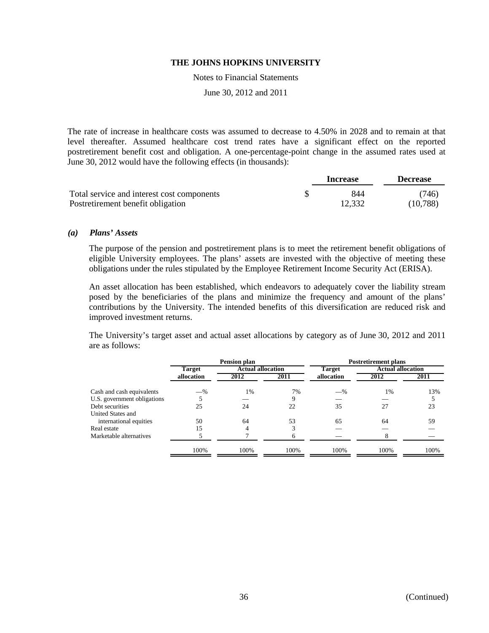Notes to Financial Statements

June 30, 2012 and 2011

The rate of increase in healthcare costs was assumed to decrease to 4.50% in 2028 and to remain at that level thereafter. Assumed healthcare cost trend rates have a significant effect on the reported postretirement benefit cost and obligation. A one-percentage-point change in the assumed rates used at June 30, 2012 would have the following effects (in thousands):

|                                            | Increase | <b>Decrease</b> |
|--------------------------------------------|----------|-----------------|
| Total service and interest cost components | 844      | (746)           |
| Postretirement benefit obligation          | 12,332   | (10,788)        |

#### *(a) Plans' Assets*

The purpose of the pension and postretirement plans is to meet the retirement benefit obligations of eligible University employees. The plans' assets are invested with the objective of meeting these obligations under the rules stipulated by the Employee Retirement Income Security Act (ERISA).

An asset allocation has been established, which endeavors to adequately cover the liability stream posed by the beneficiaries of the plans and minimize the frequency and amount of the plans' contributions by the University. The intended benefits of this diversification are reduced risk and improved investment returns.

The University's target asset and actual asset allocations by category as of June 30, 2012 and 2011 are as follows:

|                             | Pension plan  |                          |      | <b>Postretirement plans</b> |                          |      |  |
|-----------------------------|---------------|--------------------------|------|-----------------------------|--------------------------|------|--|
|                             | <b>Target</b> | <b>Actual allocation</b> |      | <b>Target</b>               | <b>Actual allocation</b> |      |  |
|                             | allocation    | 2012                     | 2011 | allocation                  | 2012                     | 2011 |  |
| Cash and cash equivalents   | $-$ %         | 1%                       | 7%   | $-$ %                       | 1%                       | 13%  |  |
| U.S. government obligations |               |                          | Q    |                             |                          |      |  |
| Debt securities             | 25            | 24                       | 22   | 35                          | 27                       | 23   |  |
| United States and           |               |                          |      |                             |                          |      |  |
| international equities      | 50            | 64                       | 53   | 65                          | 64                       | 59   |  |
| Real estate                 | 15            | 4                        |      |                             |                          |      |  |
| Marketable alternatives     |               |                          | h    |                             | 8                        |      |  |
|                             | 100%          | 100%                     | 100% | 100%                        | 100%                     | 100% |  |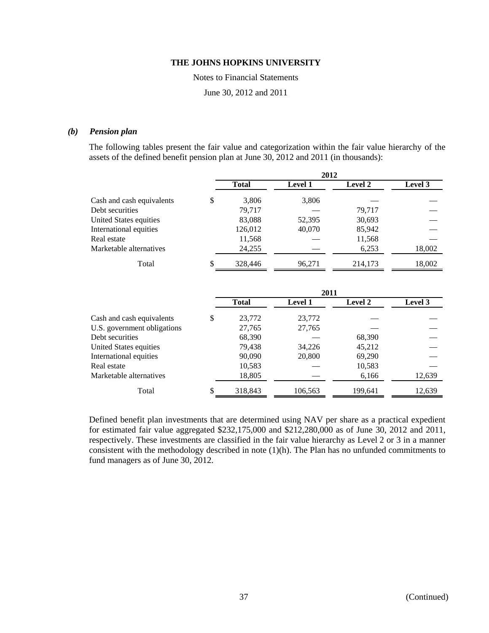Notes to Financial Statements

June 30, 2012 and 2011

### *(b) Pension plan*

The following tables present the fair value and categorization within the fair value hierarchy of the assets of the defined benefit pension plan at June 30, 2012 and 2011 (in thousands):

|                           | 2012         |                |                |         |  |  |
|---------------------------|--------------|----------------|----------------|---------|--|--|
|                           | <b>Total</b> | <b>Level 1</b> | <b>Level 2</b> | Level 3 |  |  |
| Cash and cash equivalents | \$<br>3,806  | 3,806          |                |         |  |  |
| Debt securities           | 79.717       |                | 79.717         |         |  |  |
| United States equities    | 83,088       | 52,395         | 30,693         |         |  |  |
| International equities    | 126,012      | 40,070         | 85,942         |         |  |  |
| Real estate               | 11,568       |                | 11,568         |         |  |  |
| Marketable alternatives   | 24,255       |                | 6,253          | 18,002  |  |  |
| Total                     | 328,446      | 96,271         | 214,173        | 18,002  |  |  |

|                             | 2011         |                |         |         |  |
|-----------------------------|--------------|----------------|---------|---------|--|
|                             | <b>Total</b> | <b>Level 1</b> | Level 2 | Level 3 |  |
| Cash and cash equivalents   | \$<br>23,772 | 23,772         |         |         |  |
| U.S. government obligations | 27,765       | 27,765         |         |         |  |
| Debt securities             | 68,390       |                | 68,390  |         |  |
| United States equities      | 79,438       | 34,226         | 45,212  |         |  |
| International equities      | 90,090       | 20,800         | 69,290  |         |  |
| Real estate                 | 10,583       |                | 10,583  |         |  |
| Marketable alternatives     | 18,805       |                | 6,166   | 12,639  |  |
| Total                       | 318,843      | 106,563        | 199,641 | 12,639  |  |

Defined benefit plan investments that are determined using NAV per share as a practical expedient for estimated fair value aggregated \$232,175,000 and \$212,280,000 as of June 30, 2012 and 2011, respectively. These investments are classified in the fair value hierarchy as Level 2 or 3 in a manner consistent with the methodology described in note (1)(h). The Plan has no unfunded commitments to fund managers as of June 30, 2012.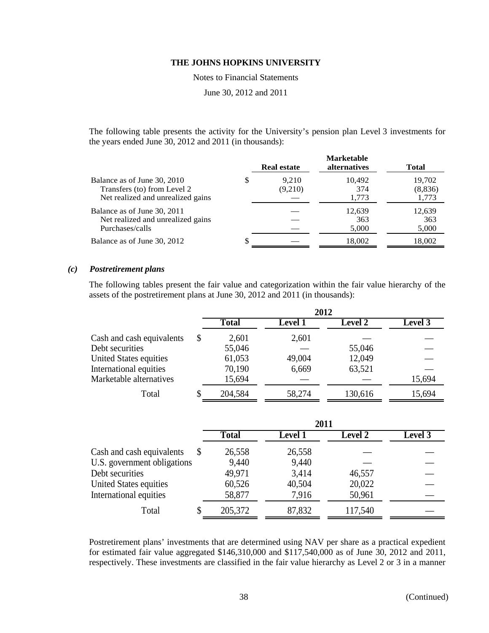Notes to Financial Statements

June 30, 2012 and 2011

The following table presents the activity for the University's pension plan Level 3 investments for the years ended June 30, 2012 and 2011 (in thousands):

|                                                                                                 | <b>Real estate</b> | <b>Marketable</b><br><i>alternatives</i> | <b>Total</b>                |
|-------------------------------------------------------------------------------------------------|--------------------|------------------------------------------|-----------------------------|
| Balance as of June 30, 2010<br>Transfers (to) from Level 2<br>Net realized and unrealized gains | 9.210<br>(9,210)   | 10,492<br>374<br>1.773                   | 19,702<br>(8, 836)<br>1,773 |
| Balance as of June 30, 2011<br>Net realized and unrealized gains<br>Purchases/calls             |                    | 12,639<br>363<br>5,000                   | 12,639<br>363<br>5,000      |
| Balance as of June 30, 2012                                                                     |                    | 18,002                                   | 18,002                      |

# *(c) Postretirement plans*

The following tables present the fair value and categorization within the fair value hierarchy of the assets of the postretirement plans at June 30, 2012 and 2011 (in thousands):

|                           |    | 2012         |                |                |         |  |
|---------------------------|----|--------------|----------------|----------------|---------|--|
|                           |    | <b>Total</b> | <b>Level 1</b> | <b>Level 2</b> | Level 3 |  |
| Cash and cash equivalents | \$ | 2,601        | 2,601          |                |         |  |
| Debt securities           |    | 55,046       |                | 55,046         |         |  |
| United States equities    |    | 61,053       | 49,004         | 12,049         |         |  |
| International equities    |    | 70,190       | 6,669          | 63,521         |         |  |
| Marketable alternatives   |    | 15,694       |                |                | 15,694  |  |
| Total                     | S  | 204,584      | 58,274         | 130,616        | 15,694  |  |

|                             | 2011         |                |         |         |  |
|-----------------------------|--------------|----------------|---------|---------|--|
|                             | <b>Total</b> | <b>Level</b> 1 | Level 2 | Level 3 |  |
| Cash and cash equivalents   | 26,558       | 26,558         |         |         |  |
| U.S. government obligations | 9,440        | 9,440          |         |         |  |
| Debt securities             | 49,971       | 3,414          | 46,557  |         |  |
| United States equities      | 60,526       | 40,504         | 20,022  |         |  |
| International equities      | 58,877       | 7,916          | 50,961  |         |  |
| Total                       | 205,372      | 87,832         | 117,540 |         |  |

Postretirement plans' investments that are determined using NAV per share as a practical expedient for estimated fair value aggregated \$146,310,000 and \$117,540,000 as of June 30, 2012 and 2011, respectively. These investments are classified in the fair value hierarchy as Level 2 or 3 in a manner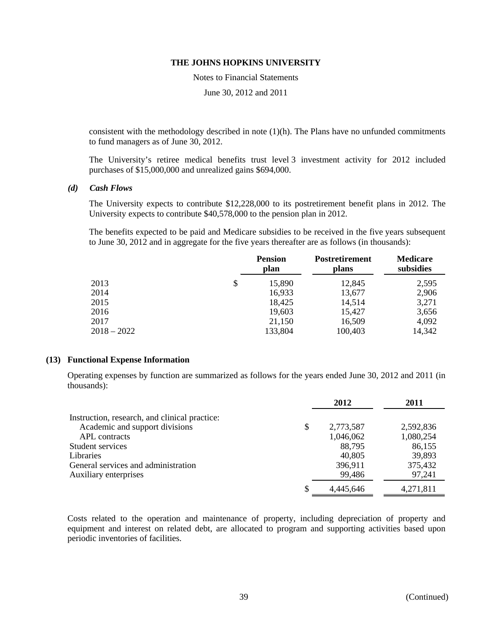Notes to Financial Statements

June 30, 2012 and 2011

consistent with the methodology described in note  $(1)(h)$ . The Plans have no unfunded commitments to fund managers as of June 30, 2012.

The University's retiree medical benefits trust level 3 investment activity for 2012 included purchases of \$15,000,000 and unrealized gains \$694,000.

#### *(d) Cash Flows*

The University expects to contribute \$12,228,000 to its postretirement benefit plans in 2012. The University expects to contribute \$40,578,000 to the pension plan in 2012.

The benefits expected to be paid and Medicare subsidies to be received in the five years subsequent to June 30, 2012 and in aggregate for the five years thereafter are as follows (in thousands):

|               | <b>Pension</b><br>plan | <b>Postretirement</b><br>plans | <b>Medicare</b><br>subsidies |
|---------------|------------------------|--------------------------------|------------------------------|
| 2013          | \$<br>15,890           | 12,845                         | 2,595                        |
| 2014          | 16,933                 | 13,677                         | 2,906                        |
| 2015          | 18,425                 | 14.514                         | 3,271                        |
| 2016          | 19,603                 | 15,427                         | 3,656                        |
| 2017          | 21,150                 | 16,509                         | 4,092                        |
| $2018 - 2022$ | 133,804                | 100,403                        | 14,342                       |

### **(13) Functional Expense Information**

Operating expenses by function are summarized as follows for the years ended June 30, 2012 and 2011 (in thousands):

|                                               |   | 2012      | 2011      |
|-----------------------------------------------|---|-----------|-----------|
| Instruction, research, and clinical practice: |   |           |           |
| Academic and support divisions                | S | 2,773,587 | 2,592,836 |
| APL contracts                                 |   | 1,046,062 | 1,080,254 |
| Student services                              |   | 88,795    | 86,155    |
| <b>Libraries</b>                              |   | 40,805    | 39,893    |
| General services and administration           |   | 396,911   | 375,432   |
| Auxiliary enterprises                         |   | 99,486    | 97,241    |
|                                               |   | 4.445.646 | 4,271,811 |

Costs related to the operation and maintenance of property, including depreciation of property and equipment and interest on related debt, are allocated to program and supporting activities based upon periodic inventories of facilities.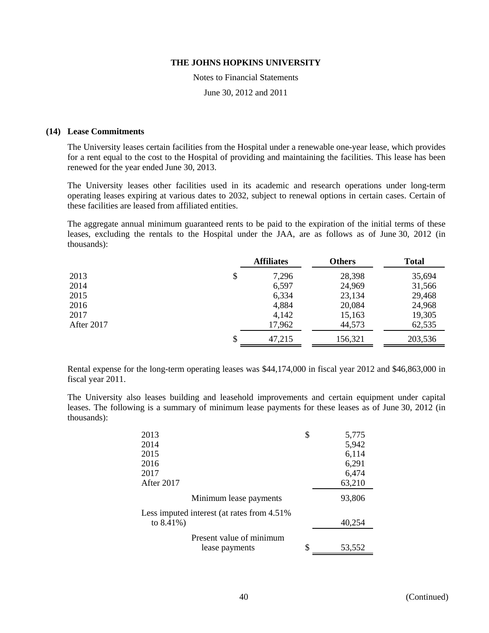Notes to Financial Statements

June 30, 2012 and 2011

#### **(14) Lease Commitments**

The University leases certain facilities from the Hospital under a renewable one-year lease, which provides for a rent equal to the cost to the Hospital of providing and maintaining the facilities. This lease has been renewed for the year ended June 30, 2013.

The University leases other facilities used in its academic and research operations under long-term operating leases expiring at various dates to 2032, subject to renewal options in certain cases. Certain of these facilities are leased from affiliated entities.

The aggregate annual minimum guaranteed rents to be paid to the expiration of the initial terms of these leases, excluding the rentals to the Hospital under the JAA, are as follows as of June 30, 2012 (in thousands):

|              |         | <b>Total</b> |
|--------------|---------|--------------|
| \$<br>7,296  | 28,398  | 35,694       |
| 6,597        | 24,969  | 31,566       |
| 6,334        | 23,134  | 29,468       |
| 4,884        | 20,084  | 24,968       |
| 4,142        | 15,163  | 19,305       |
| 17,962       | 44,573  | 62,535       |
| \$<br>47,215 | 156,321 | 203,536      |
|              |         |              |

Rental expense for the long-term operating leases was \$44,174,000 in fiscal year 2012 and \$46,863,000 in fiscal year 2011.

The University also leases building and leasehold improvements and certain equipment under capital leases. The following is a summary of minimum lease payments for these leases as of June 30, 2012 (in thousands):

| 2013                                        | \$<br>5,775  |
|---------------------------------------------|--------------|
| 2014                                        | 5,942        |
| 2015                                        | 6,114        |
| 2016                                        | 6,291        |
| 2017                                        | 6,474        |
| After 2017                                  | 63,210       |
| Minimum lease payments                      | 93,806       |
| Less imputed interest (at rates from 4.51%) |              |
| to $8.41\%$ )                               | 40,254       |
| Present value of minimum                    |              |
| lease payments                              | \$<br>53,552 |